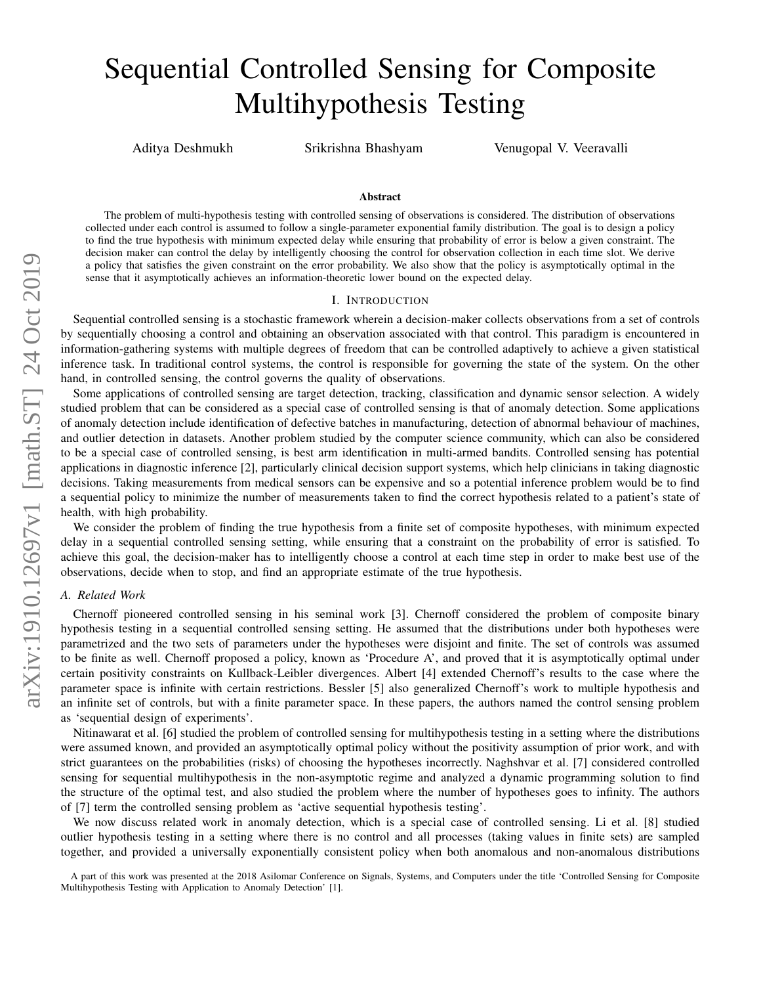# Sequential Controlled Sensing for Composite Multihypothesis Testing

Aditya Deshmukh Srikrishna Bhashyam Venugopal V. Veeravalli

### Abstract

The problem of multi-hypothesis testing with controlled sensing of observations is considered. The distribution of observations collected under each control is assumed to follow a single-parameter exponential family distribution. The goal is to design a policy to find the true hypothesis with minimum expected delay while ensuring that probability of error is below a given constraint. The decision maker can control the delay by intelligently choosing the control for observation collection in each time slot. We derive a policy that satisfies the given constraint on the error probability. We also show that the policy is asymptotically optimal in the sense that it asymptotically achieves an information-theoretic lower bound on the expected delay.

### I. INTRODUCTION

Sequential controlled sensing is a stochastic framework wherein a decision-maker collects observations from a set of controls by sequentially choosing a control and obtaining an observation associated with that control. This paradigm is encountered in information-gathering systems with multiple degrees of freedom that can be controlled adaptively to achieve a given statistical inference task. In traditional control systems, the control is responsible for governing the state of the system. On the other hand, in controlled sensing, the control governs the quality of observations.

Some applications of controlled sensing are target detection, tracking, classification and dynamic sensor selection. A widely studied problem that can be considered as a special case of controlled sensing is that of anomaly detection. Some applications of anomaly detection include identification of defective batches in manufacturing, detection of abnormal behaviour of machines, and outlier detection in datasets. Another problem studied by the computer science community, which can also be considered to be a special case of controlled sensing, is best arm identification in multi-armed bandits. Controlled sensing has potential applications in diagnostic inference [2], particularly clinical decision support systems, which help clinicians in taking diagnostic decisions. Taking measurements from medical sensors can be expensive and so a potential inference problem would be to find a sequential policy to minimize the number of measurements taken to find the correct hypothesis related to a patient's state of health, with high probability.

We consider the problem of finding the true hypothesis from a finite set of composite hypotheses, with minimum expected delay in a sequential controlled sensing setting, while ensuring that a constraint on the probability of error is satisfied. To achieve this goal, the decision-maker has to intelligently choose a control at each time step in order to make best use of the observations, decide when to stop, and find an appropriate estimate of the true hypothesis.

## *A. Related Work*

Chernoff pioneered controlled sensing in his seminal work [3]. Chernoff considered the problem of composite binary hypothesis testing in a sequential controlled sensing setting. He assumed that the distributions under both hypotheses were parametrized and the two sets of parameters under the hypotheses were disjoint and finite. The set of controls was assumed to be finite as well. Chernoff proposed a policy, known as 'Procedure A', and proved that it is asymptotically optimal under certain positivity constraints on Kullback-Leibler divergences. Albert [4] extended Chernoff's results to the case where the parameter space is infinite with certain restrictions. Bessler [5] also generalized Chernoff's work to multiple hypothesis and an infinite set of controls, but with a finite parameter space. In these papers, the authors named the control sensing problem as 'sequential design of experiments'.

Nitinawarat et al. [6] studied the problem of controlled sensing for multihypothesis testing in a setting where the distributions were assumed known, and provided an asymptotically optimal policy without the positivity assumption of prior work, and with strict guarantees on the probabilities (risks) of choosing the hypotheses incorrectly. Naghshvar et al. [7] considered controlled sensing for sequential multihypothesis in the non-asymptotic regime and analyzed a dynamic programming solution to find the structure of the optimal test, and also studied the problem where the number of hypotheses goes to infinity. The authors of [7] term the controlled sensing problem as 'active sequential hypothesis testing'.

We now discuss related work in anomaly detection, which is a special case of controlled sensing. Li et al. [8] studied outlier hypothesis testing in a setting where there is no control and all processes (taking values in finite sets) are sampled together, and provided a universally exponentially consistent policy when both anomalous and non-anomalous distributions

A part of this work was presented at the 2018 Asilomar Conference on Signals, Systems, and Computers under the title 'Controlled Sensing for Composite Multihypothesis Testing with Application to Anomaly Detection' [1].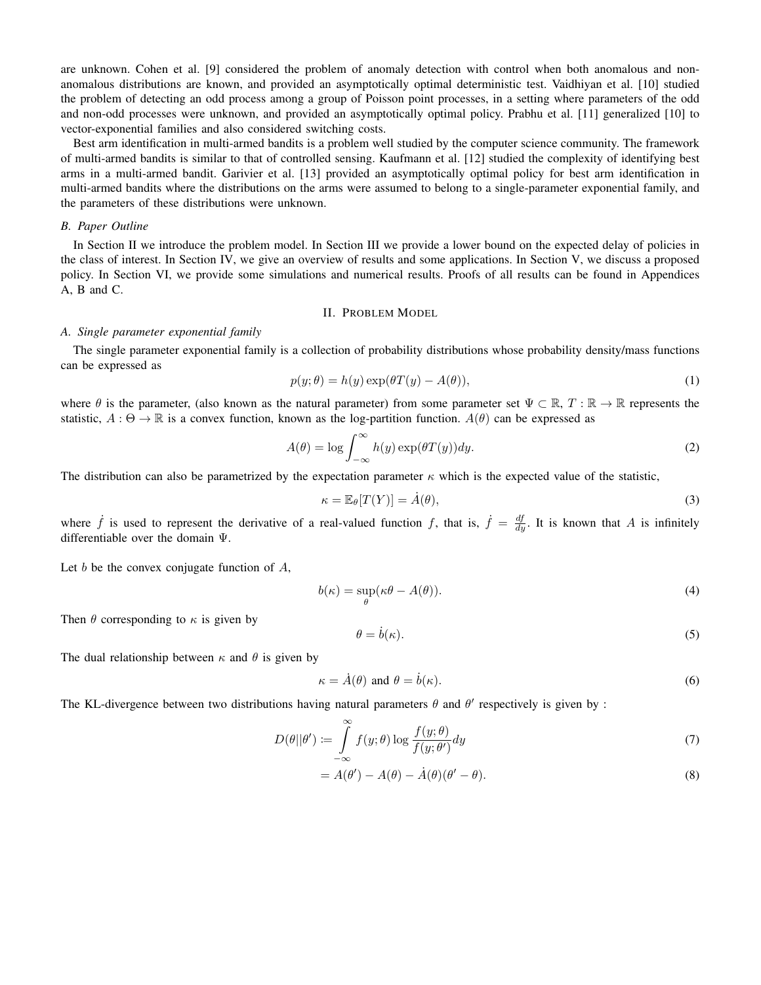are unknown. Cohen et al. [9] considered the problem of anomaly detection with control when both anomalous and nonanomalous distributions are known, and provided an asymptotically optimal deterministic test. Vaidhiyan et al. [10] studied the problem of detecting an odd process among a group of Poisson point processes, in a setting where parameters of the odd and non-odd processes were unknown, and provided an asymptotically optimal policy. Prabhu et al. [11] generalized [10] to vector-exponential families and also considered switching costs.

Best arm identification in multi-armed bandits is a problem well studied by the computer science community. The framework of multi-armed bandits is similar to that of controlled sensing. Kaufmann et al. [12] studied the complexity of identifying best arms in a multi-armed bandit. Garivier et al. [13] provided an asymptotically optimal policy for best arm identification in multi-armed bandits where the distributions on the arms were assumed to belong to a single-parameter exponential family, and the parameters of these distributions were unknown.

## *B. Paper Outline*

In Section II we introduce the problem model. In Section III we provide a lower bound on the expected delay of policies in the class of interest. In Section IV, we give an overview of results and some applications. In Section V, we discuss a proposed policy. In Section VI, we provide some simulations and numerical results. Proofs of all results can be found in Appendices A, B and C.

#### II. PROBLEM MODEL

### *A. Single parameter exponential family*

The single parameter exponential family is a collection of probability distributions whose probability density/mass functions can be expressed as

$$
p(y; \theta) = h(y) \exp(\theta T(y) - A(\theta)), \tag{1}
$$

where  $\theta$  is the parameter, (also known as the natural parameter) from some parameter set  $\Psi \subset \mathbb{R}, T : \mathbb{R} \to \mathbb{R}$  represents the statistic,  $A : \Theta \to \mathbb{R}$  is a convex function, known as the log-partition function.  $A(\theta)$  can be expressed as

$$
A(\theta) = \log \int_{-\infty}^{\infty} h(y) \exp(\theta T(y)) dy.
$$
 (2)

The distribution can also be parametrized by the expectation parameter  $\kappa$  which is the expected value of the statistic,

$$
\kappa = \mathbb{E}_{\theta}[T(Y)] = \dot{A}(\theta),\tag{3}
$$

where  $\dot{f}$  is used to represent the derivative of a real-valued function f, that is,  $\dot{f} = \frac{df}{dy}$ . It is known that A is infinitely differentiable over the domain Ψ.

Let  $b$  be the convex conjugate function of  $A$ ,

$$
b(\kappa) = \sup_{\theta} (\kappa \theta - A(\theta)).
$$
 (4)

Then  $\theta$  corresponding to  $\kappa$  is given by

$$
\theta = \dot{b}(\kappa). \tag{5}
$$

The dual relationship between  $\kappa$  and  $\theta$  is given by

$$
\kappa = \dot{A}(\theta) \text{ and } \theta = \dot{b}(\kappa). \tag{6}
$$

The KL-divergence between two distributions having natural parameters  $\theta$  and  $\theta'$  respectively is given by :

$$
D(\theta||\theta') := \int_{-\infty}^{\infty} f(y;\theta) \log \frac{f(y;\theta)}{f(y;\theta')} dy
$$
 (7)

$$
=A(\theta') - A(\theta) - \dot{A}(\theta)(\theta' - \theta).
$$
\n(8)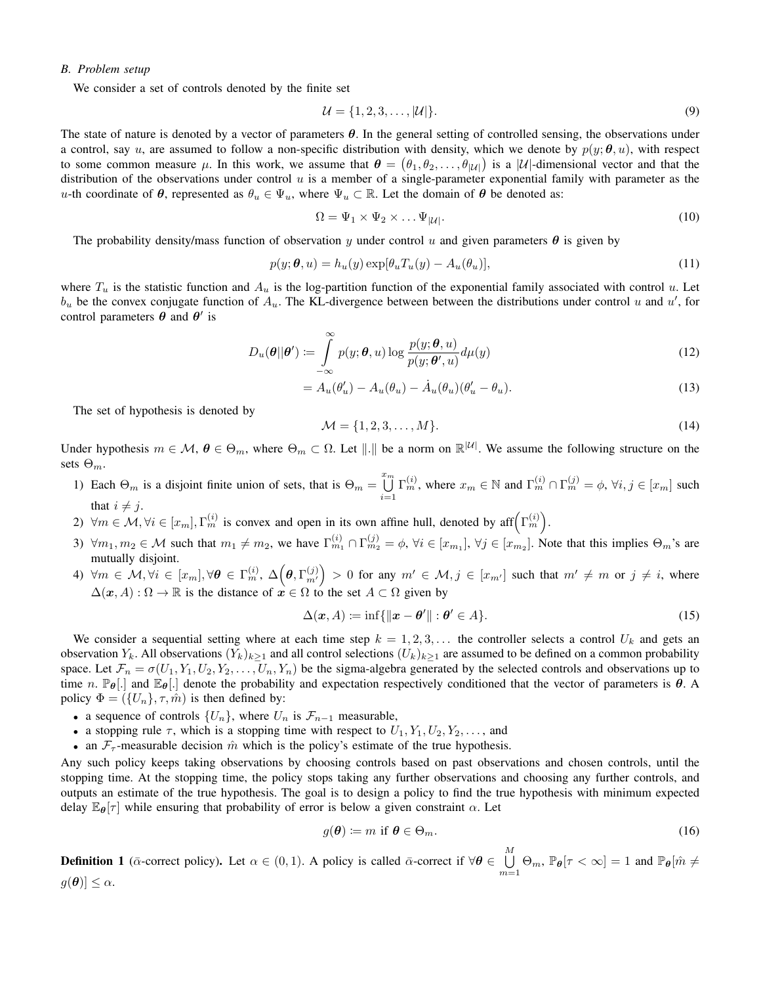## *B. Problem setup*

We consider a set of controls denoted by the finite set

$$
\mathcal{U} = \{1, 2, 3, \dots, |\mathcal{U}|\}.
$$
\n(9)

The state of nature is denoted by a vector of parameters  $\theta$ . In the general setting of controlled sensing, the observations under a control, say u, are assumed to follow a non-specific distribution with density, which we denote by  $p(y; \theta, u)$ , with respect to some common measure  $\mu$ . In this work, we assume that  $\theta = (\theta_1, \theta_2, \dots, \theta_{|\mathcal{U}|})$  is a  $|\mathcal{U}|$ -dimensional vector and that the distribution of the observations under control  $u$  is a member of a single-parameter exponential family with parameter as the u-th coordinate of  $\theta$ , represented as  $\theta_u \in \Psi_u$ , where  $\Psi_u \subset \mathbb{R}$ . Let the domain of  $\theta$  be denoted as:

$$
\Omega = \Psi_1 \times \Psi_2 \times \dots \Psi_{|\mathcal{U}|}.\tag{10}
$$

The probability density/mass function of observation y under control u and given parameters  $\theta$  is given by

$$
p(y; \theta, u) = h_u(y) \exp[\theta_u T_u(y) - A_u(\theta_u)], \qquad (11)
$$

where  $T_u$  is the statistic function and  $A_u$  is the log-partition function of the exponential family associated with control u. Let  $b_u$  be the convex conjugate function of  $A_u$ . The KL-divergence between between the distributions under control u and u', for control parameters  $\theta$  and  $\theta'$  is

$$
D_u(\boldsymbol{\theta}||\boldsymbol{\theta}') := \int_{-\infty}^{\infty} p(y; \boldsymbol{\theta}, u) \log \frac{p(y; \boldsymbol{\theta}, u)}{p(y; \boldsymbol{\theta}', u)} d\mu(y)
$$
(12)

$$
=A_u(\theta'_u)-A_u(\theta_u)-\dot{A}_u(\theta_u)(\theta'_u-\theta_u).
$$
\n(13)

The set of hypothesis is denoted by

$$
\mathcal{M} = \{1, 2, 3, \dots, M\}.
$$
 (14)

Under hypothesis  $m \in \mathcal{M}$ ,  $\theta \in \Theta_m$ , where  $\Theta_m \subset \Omega$ . Let  $\|.\|$  be a norm on  $\mathbb{R}^{|\mathcal{U}|}$ . We assume the following structure on the sets  $\Theta_m$ .

- 1) Each  $\Theta_m$  is a disjoint finite union of sets, that is  $\Theta_m = \bigcup_{k=1}^{m_m}$  $i=1$  $\Gamma_m^{(i)}$ , where  $x_m \in \mathbb{N}$  and  $\Gamma_m^{(i)} \cap \Gamma_m^{(j)} = \phi$ ,  $\forall i, j \in [x_m]$  such that  $i \neq j$ .
- 2)  $\forall m \in \mathcal{M}, \forall i \in [x_m], \Gamma_m^{(i)}$  is convex and open in its own affine hull, denoted by aff $(\Gamma_m^{(i)})$ .
- 3)  $\forall m_1, m_2 \in \mathcal{M}$  such that  $m_1 \neq m_2$ , we have  $\Gamma_{m_1}^{(i)} \cap \Gamma_{m_2}^{(j)} = \phi$ ,  $\forall i \in [x_{m_1}], \forall j \in [x_{m_2}]$ . Note that this implies  $\Theta_m$ 's are mutually disjoint.
- 4)  $\forall m \in \mathcal{M}, \forall i \in [x_m], \forall \theta \in \Gamma_m^{(i)}, \, \Delta \Big(\theta, \Gamma_{m'}^{(j)} \Big) > 0$  for any  $m' \in \mathcal{M}, j \in [x_{m'}]$  such that  $m' \neq m$  or  $j \neq i$ , where  $\Delta(\mathbf{x}, A) : \Omega \to \mathbb{R}$  is the distance of  $\mathbf{x} \in \Omega$  to the set  $A \subset \Omega$  given by

$$
\Delta(\mathbf{x}, A) := \inf \{ ||\mathbf{x} - \boldsymbol{\theta}'|| : \boldsymbol{\theta}' \in A \}.
$$
\n(15)

We consider a sequential setting where at each time step  $k = 1, 2, 3, \ldots$  the controller selects a control  $U_k$  and gets an observation  $Y_k$ . All observations  $(Y_k)_{k>1}$  and all control selections  $(U_k)_{k>1}$  are assumed to be defined on a common probability space. Let  $\mathcal{F}_n = \sigma(U_1, Y_1, U_2, Y_2, \ldots, U_n, Y_n)$  be the sigma-algebra generated by the selected controls and observations up to time n.  $\mathbb{P}_{\theta}[\cdot]$  and  $\mathbb{E}_{\theta}[\cdot]$  denote the probability and expectation respectively conditioned that the vector of parameters is  $\theta$ . A policy  $\Phi = (\{U_n\}, \tau, \hat{m})$  is then defined by:

- a sequence of controls  $\{U_n\}$ , where  $U_n$  is  $\mathcal{F}_{n-1}$  measurable,
- a stopping rule  $\tau$ , which is a stopping time with respect to  $U_1, Y_1, U_2, Y_2, \ldots$ , and
- an  $\mathcal{F}_{\tau}$ -measurable decision  $\hat{m}$  which is the policy's estimate of the true hypothesis.

Any such policy keeps taking observations by choosing controls based on past observations and chosen controls, until the stopping time. At the stopping time, the policy stops taking any further observations and choosing any further controls, and outputs an estimate of the true hypothesis. The goal is to design a policy to find the true hypothesis with minimum expected delay  $\mathbb{E}_{\theta}[\tau]$  while ensuring that probability of error is below a given constraint  $\alpha$ . Let

$$
g(\boldsymbol{\theta}) \coloneqq m \text{ if } \boldsymbol{\theta} \in \Theta_m. \tag{16}
$$

**Definition 1** ( $\bar{\alpha}$ -correct policy). Let  $\alpha \in (0,1)$ . A policy is called  $\bar{\alpha}$ -correct if  $\forall \theta \in \bigcup^M$  $\bigcup_{m=1}^{\infty} \Theta_m$ ,  $\mathbb{P}_{\theta}[\tau < \infty] = 1$  and  $\mathbb{P}_{\theta}[\hat{m} \neq \theta]$  $g(\boldsymbol{\theta}) \leq \alpha.$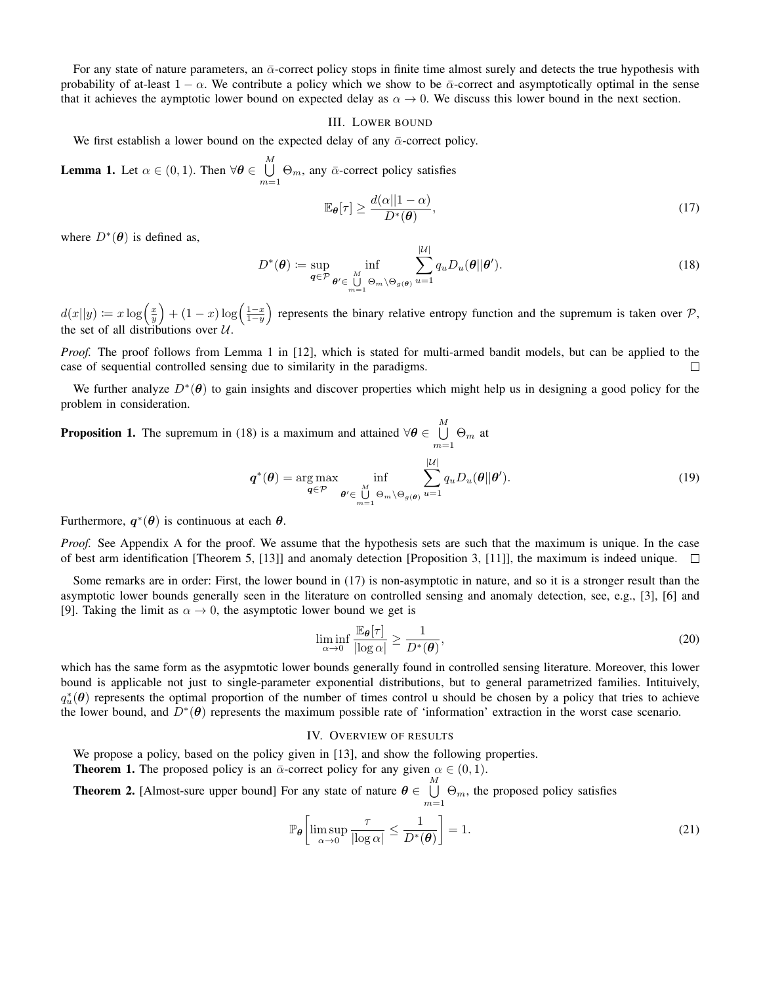For any state of nature parameters, an  $\bar{\alpha}$ -correct policy stops in finite time almost surely and detects the true hypothesis with probability of at-least  $1 - \alpha$ . We contribute a policy which we show to be  $\bar{\alpha}$ -correct and asymptotically optimal in the sense that it achieves the aymptotic lower bound on expected delay as  $\alpha \to 0$ . We discuss this lower bound in the next section.

#### III. LOWER BOUND

We first establish a lower bound on the expected delay of any  $\bar{\alpha}$ -correct policy.

**Lemma 1.** Let  $\alpha \in (0,1)$ . Then  $\forall \theta \in \bigcup^{M}$  $\bigcup_{m=1} \Theta_m$ , any  $\bar{\alpha}$ -correct policy satisfies

$$
\mathbb{E}_{\theta}[\tau] \ge \frac{d(\alpha||1-\alpha)}{D^*(\theta)},\tag{17}
$$

where  $D^*(\theta)$  is defined as,

$$
D^*(\boldsymbol{\theta}) \coloneqq \sup_{\boldsymbol{q} \in \mathcal{P}} \inf_{\boldsymbol{\theta}' \in \bigcup_{m=1}^M \Theta_m \backslash \Theta_{g(\boldsymbol{\theta})}} \sum_{u=1}^{|U|} q_u D_u(\boldsymbol{\theta}||\boldsymbol{\theta}'). \tag{18}
$$

 $d(x||y) \coloneqq x \log\left(\frac{x}{y}\right) + (1-x) \log\left(\frac{1-x}{1-y}\right)$ ) represents the binary relative entropy function and the supremum is taken over  $P$ , the set of all distributions over  $U$ .

*Proof.* The proof follows from Lemma 1 in [12], which is stated for multi-armed bandit models, but can be applied to the case of sequential controlled sensing due to similarity in the paradigms.  $\Box$ 

We further analyze  $D^*(\theta)$  to gain insights and discover properties which might help us in designing a good policy for the problem in consideration.

**Proposition 1.** The supremum in (18) is a maximum and attained  $\forall \theta \in \bigcup^M$  $\bigcup_{m=1} \Theta_m$  at

$$
\boldsymbol{q}^*(\boldsymbol{\theta}) = \underset{\boldsymbol{q} \in \mathcal{P}}{\arg \max} \inf_{\boldsymbol{\theta}' \in \bigcup_{m=1}^M \Theta_m \setminus \Theta_{g(\boldsymbol{\theta})}} \sum_{u=1}^{|\mathcal{U}|} q_u D_u(\boldsymbol{\theta}||\boldsymbol{\theta}'). \tag{19}
$$

Furthermore,  $q^*(\theta)$  is continuous at each  $\theta$ .

*Proof.* See Appendix A for the proof. We assume that the hypothesis sets are such that the maximum is unique. In the case of best arm identification [Theorem 5, [13]] and anomaly detection [Proposition 3, [11]], the maximum is indeed unique.  $\square$ 

Some remarks are in order: First, the lower bound in (17) is non-asymptotic in nature, and so it is a stronger result than the asymptotic lower bounds generally seen in the literature on controlled sensing and anomaly detection, see, e.g., [3], [6] and [9]. Taking the limit as  $\alpha \to 0$ , the asymptotic lower bound we get is

$$
\liminf_{\alpha \to 0} \frac{\mathbb{E}_{\theta}[\tau]}{|\log \alpha|} \ge \frac{1}{D^*(\theta)},\tag{20}
$$

which has the same form as the asypmtotic lower bounds generally found in controlled sensing literature. Moreover, this lower bound is applicable not just to single-parameter exponential distributions, but to general parametrized families. Intituively,  $q_u^*(\theta)$  represents the optimal proportion of the number of times control u should be chosen by a policy that tries to achieve the lower bound, and  $D^*(\theta)$  represents the maximum possible rate of 'information' extraction in the worst case scenario.

#### IV. OVERVIEW OF RESULTS

We propose a policy, based on the policy given in [13], and show the following properties.

**Theorem 1.** The proposed policy is an  $\bar{\alpha}$ -correct policy for any given  $\alpha \in (0,1)$ .

**Theorem 2.** [Almost-sure upper bound] For any state of nature  $\boldsymbol{\theta} \in \bigcup^M$  $\bigcup_{m=1} \Theta_m$ , the proposed policy satisfies

$$
\mathbb{P}_{\theta}\left[\limsup_{\alpha \to 0} \frac{\tau}{|\log \alpha|} \le \frac{1}{D^*(\theta)}\right] = 1. \tag{21}
$$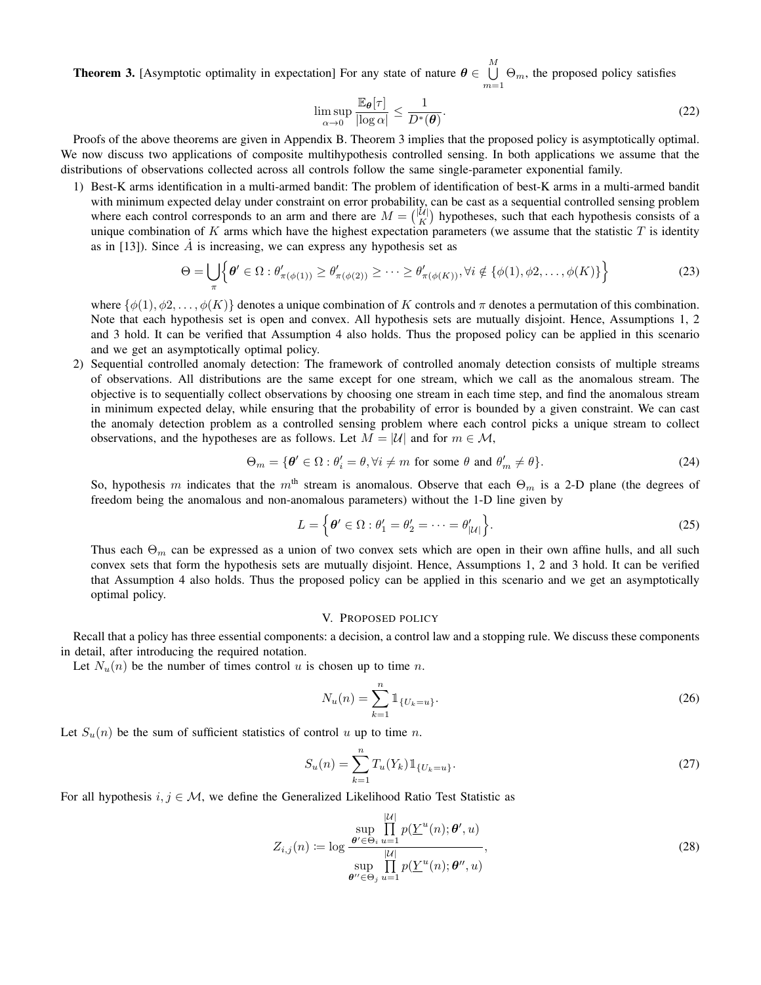**Theorem 3.** [Asymptotic optimality in expectation] For any state of nature  $\boldsymbol{\theta} \in \bigcup^M$  $\bigcup_{m=1} \Theta_m$ , the proposed policy satisfies

$$
\limsup_{\alpha \to 0} \frac{\mathbb{E}_{\theta}[\tau]}{|\log \alpha|} \le \frac{1}{D^*(\theta)}.
$$
\n(22)

Proofs of the above theorems are given in Appendix B. Theorem 3 implies that the proposed policy is asymptotically optimal. We now discuss two applications of composite multihypothesis controlled sensing. In both applications we assume that the distributions of observations collected across all controls follow the same single-parameter exponential family.

1) Best-K arms identification in a multi-armed bandit: The problem of identification of best-K arms in a multi-armed bandit with minimum expected delay under constraint on error probability, can be cast as a sequential controlled sensing problem where each control corresponds to an arm and there are  $M = \binom{|U|}{K}$  hypotheses, such that each hypothesis consists of a unique combination of K arms which have the highest expectation parameters (we assume that the statistic  $T$  is identity as in [13]). Since  $\dot{A}$  is increasing, we can express any hypothesis set as

$$
\Theta = \bigcup_{\pi} \left\{ \theta' \in \Omega : \theta'_{\pi(\phi(1))} \ge \theta'_{\pi(\phi(2))} \ge \cdots \ge \theta'_{\pi(\phi(K))}, \forall i \notin \{\phi(1), \phi(2), \ldots, \phi(K)\} \right\}
$$
(23)

where  $\{\phi(1), \phi(2), \ldots, \phi(K)\}\$  denotes a unique combination of K controls and  $\pi$  denotes a permutation of this combination. Note that each hypothesis set is open and convex. All hypothesis sets are mutually disjoint. Hence, Assumptions 1, 2 and 3 hold. It can be verified that Assumption 4 also holds. Thus the proposed policy can be applied in this scenario and we get an asymptotically optimal policy.

2) Sequential controlled anomaly detection: The framework of controlled anomaly detection consists of multiple streams of observations. All distributions are the same except for one stream, which we call as the anomalous stream. The objective is to sequentially collect observations by choosing one stream in each time step, and find the anomalous stream in minimum expected delay, while ensuring that the probability of error is bounded by a given constraint. We can cast the anomaly detection problem as a controlled sensing problem where each control picks a unique stream to collect observations, and the hypotheses are as follows. Let  $M = |\mathcal{U}|$  and for  $m \in \mathcal{M}$ ,

$$
\Theta_m = \{ \theta' \in \Omega : \theta'_i = \theta, \forall i \neq m \text{ for some } \theta \text{ and } \theta'_m \neq \theta \}. \tag{24}
$$

So, hypothesis m indicates that the m<sup>th</sup> stream is anomalous. Observe that each  $\Theta_m$  is a 2-D plane (the degrees of freedom being the anomalous and non-anomalous parameters) without the 1-D line given by

$$
L = \left\{ \boldsymbol{\theta}' \in \Omega : \theta'_1 = \theta'_2 = \dots = \theta'_{|\mathcal{U}|} \right\}.
$$
 (25)

Thus each  $\Theta_m$  can be expressed as a union of two convex sets which are open in their own affine hulls, and all such convex sets that form the hypothesis sets are mutually disjoint. Hence, Assumptions 1, 2 and 3 hold. It can be verified that Assumption 4 also holds. Thus the proposed policy can be applied in this scenario and we get an asymptotically optimal policy.

#### V. PROPOSED POLICY

Recall that a policy has three essential components: a decision, a control law and a stopping rule. We discuss these components in detail, after introducing the required notation.

Let  $N_u(n)$  be the number of times control u is chosen up to time n.

$$
N_u(n) = \sum_{k=1}^n \mathbb{1}_{\{U_k = u\}}.
$$
\n(26)

Let  $S_u(n)$  be the sum of sufficient statistics of control u up to time n.

$$
S_u(n) = \sum_{k=1}^n T_u(Y_k) \mathbb{1}_{\{U_k = u\}}.
$$
\n(27)

For all hypothesis  $i, j \in \mathcal{M}$ , we define the Generalized Likelihood Ratio Test Statistic as

$$
Z_{i,j}(n) \coloneqq \log \frac{\sup_{\boldsymbol{\theta}' \in \Theta_i} \prod_{u=1}^{|\mathcal{U}|} p(\underline{Y}^u(n); \boldsymbol{\theta}', u)}{\sup_{\boldsymbol{\theta}'' \in \Theta_j} \prod_{u=1}^{|\mathcal{U}|} p(\underline{Y}^u(n); \boldsymbol{\theta}'', u)},
$$
\n(28)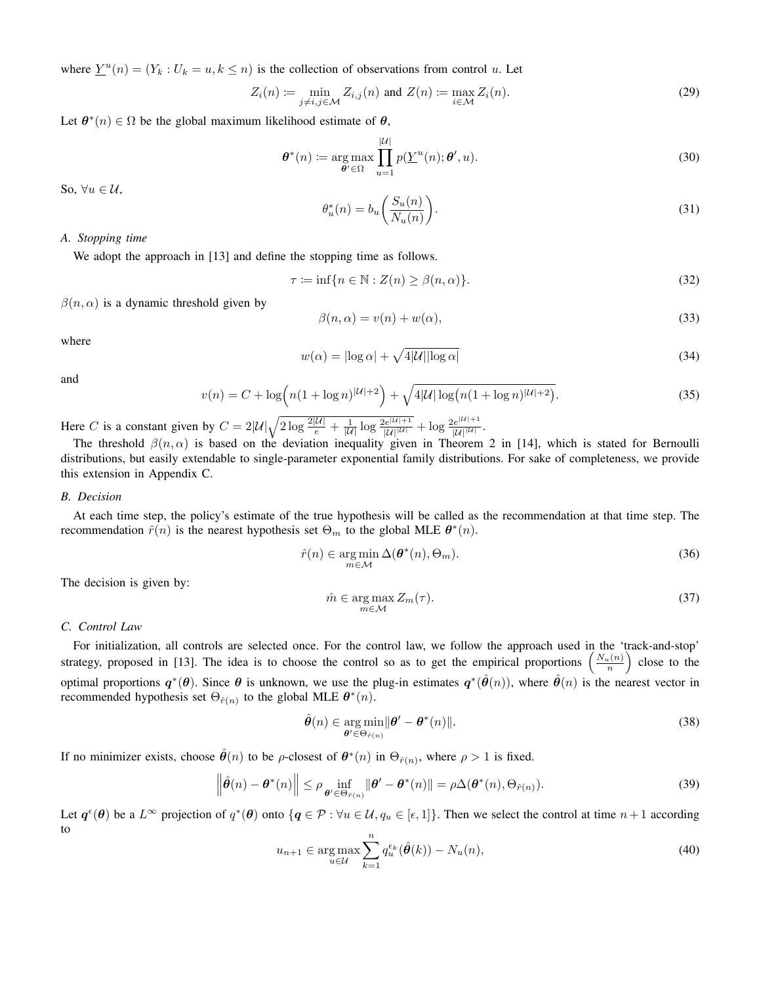where  $\underline{Y}^{u}(n) = (Y_{k} : U_{k} = u, k \leq n)$  is the collection of observations from control u. Let

$$
Z_i(n) := \min_{j \neq i, j \in \mathcal{M}} Z_{i,j}(n) \text{ and } Z(n) := \max_{i \in \mathcal{M}} Z_i(n). \tag{29}
$$

Let  $\theta^*(n) \in \Omega$  be the global maximum likelihood estimate of  $\theta$ ,

$$
\boldsymbol{\theta}^*(n) := \underset{\boldsymbol{\theta}' \in \Omega}{\arg \max} \prod_{u=1}^{|\mathcal{U}|} p(\underline{Y}^u(n); \boldsymbol{\theta}', u). \tag{30}
$$

So,  $\forall u \in \mathcal{U}$ ,

$$
\theta_u^*(n) = b_u \left( \frac{S_u(n)}{N_u(n)} \right). \tag{31}
$$

### *A. Stopping time*

We adopt the approach in [13] and define the stopping time as follows.

 $\tau \coloneqq \inf\{n \in \mathbb{N} : Z(n) \geq \beta(n, \alpha)\}.$ (32)

 $\beta(n, \alpha)$  is a dynamic threshold given by

$$
\beta(n,\alpha) = v(n) + w(\alpha),\tag{33}
$$

where

$$
w(\alpha) = |\log \alpha| + \sqrt{4|\mathcal{U}||\log \alpha|} \tag{34}
$$

and

$$
v(n) = C + \log\left(n(1 + \log n)^{|\mathcal{U}| + 2}\right) + \sqrt{4|\mathcal{U}|\log(n(1 + \log n)^{|\mathcal{U}| + 2})}.
$$
\n(35)

Here C is a constant given by  $C = 2|\mathcal{U}| \sqrt{2 \log \frac{2|\mathcal{U}|}{e}} + \frac{1}{|\mathcal{U}|} \log \frac{2e^{|\mathcal{U}|+1}}{|\mathcal{U}|^{|\mathcal{U}|}} + \log \frac{2e^{|\mathcal{U}|+1}}{|\mathcal{U}|^{|\mathcal{U}|}}$ .

The threshold  $\beta(n,\alpha)$  is based on the deviation inequality given in Theorem 2 in [14], which is stated for Bernoulli distributions, but easily extendable to single-parameter exponential family distributions. For sake of completeness, we provide this extension in Appendix C.

#### *B. Decision*

At each time step, the policy's estimate of the true hypothesis will be called as the recommendation at that time step. The recommendation  $\hat{r}(n)$  is the nearest hypothesis set  $\Theta_m$  to the global MLE  $\theta^*(n)$ .

$$
\hat{r}(n) \in \underset{m \in \mathcal{M}}{\arg \min} \Delta(\boldsymbol{\theta}^*(n), \Theta_m). \tag{36}
$$

The decision is given by:

$$
\hat{m} \in \underset{m \in \mathcal{M}}{\arg \max} Z_m(\tau). \tag{37}
$$

#### *C. Control Law*

For initialization, all controls are selected once. For the control law, we follow the approach used in the 'track-and-stop' strategy, proposed in [13]. The idea is to choose the control so as to get the empirical proportions  $\left(\frac{N_u(n)}{n}\right)$  close to the optimal proportions  $q^*(\theta)$ . Since  $\theta$  is unknown, we use the plug-in estimates  $q^*(\hat{\theta}(n))$ , where  $\hat{\theta}(n)$  is the nearest vector in recommended hypothesis set  $\Theta_{\hat{r}(n)}$  to the global MLE  $\theta^*(n)$ .

$$
\hat{\boldsymbol{\theta}}(n) \in \underset{\boldsymbol{\theta}' \in \Theta_{\hat{r}(n)}}{\arg \min} ||\boldsymbol{\theta}' - \boldsymbol{\theta}^*(n)||. \tag{38}
$$

If no minimizer exists, choose  $\hat{\theta}(n)$  to be *ρ*-closest of  $\theta^*(n)$  in  $\Theta_{\hat{r}(n)}$ , where  $\rho > 1$  is fixed.

$$
\left\|\hat{\boldsymbol{\theta}}(n) - \boldsymbol{\theta}^*(n)\right\| \le \rho \inf_{\boldsymbol{\theta}' \in \Theta_{\hat{r}(n)}} \left\|\boldsymbol{\theta}' - \boldsymbol{\theta}^*(n)\right\| = \rho \Delta(\boldsymbol{\theta}^*(n), \Theta_{\hat{r}(n)}).
$$
\n(39)

Let  $q^{\epsilon}(\theta)$  be a  $L^{\infty}$  projection of  $q^*(\theta)$  onto  $\{q \in \mathcal{P} : \forall u \in \mathcal{U}, q_u \in [\epsilon, 1]\}$ . Then we select the control at time  $n+1$  according to

$$
u_{n+1} \in \underset{u \in \mathcal{U}}{\arg \max} \sum_{k=1}^{n} q_u^{\epsilon_k}(\hat{\boldsymbol{\theta}}(k)) - N_u(n), \tag{40}
$$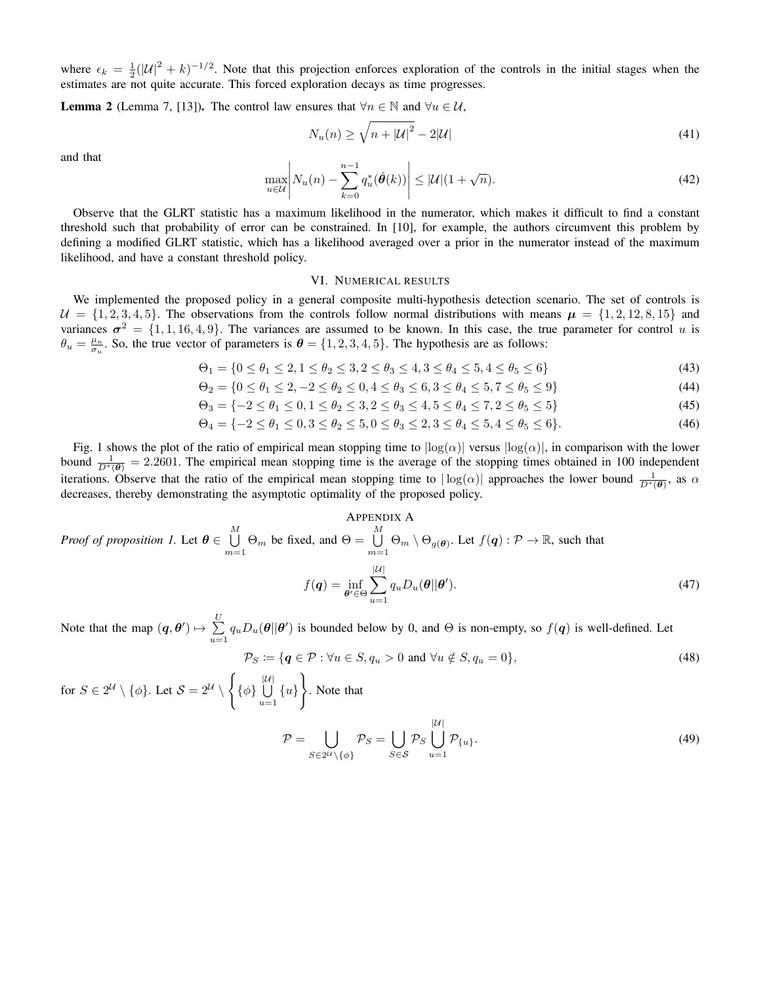where  $\epsilon_k = \frac{1}{2}(|U|^2 + k)^{-1/2}$ . Note that this projection enforces exploration of the controls in the initial stages when the estimates are not quite accurate. This forced exploration decays as time progresses.

**Lemma 2** (Lemma 7, [13]). The control law ensures that  $\forall n \in \mathbb{N}$  and  $\forall u \in \mathcal{U}$ ,

$$
N_u(n) \ge \sqrt{n + |\mathcal{U}|^2} - 2|\mathcal{U}| \tag{41}
$$

and that

$$
\max_{u \in \mathcal{U}} \left| N_u(n) - \sum_{k=0}^{n-1} q_u^*(\hat{\boldsymbol{\theta}}(k)) \right| \le |\mathcal{U}| (1 + \sqrt{n}). \tag{42}
$$

Observe that the GLRT statistic has a maximum likelihood in the numerator, which makes it difficult to find a constant threshold such that probability of error can be constrained. In [10], for example, the authors circumvent this problem by defining a modified GLRT statistic, which has a likelihood averaged over a prior in the numerator instead of the maximum likelihood, and have a constant threshold policy.

#### VI. NUMERICAL RESULTS

We implemented the proposed policy in a general composite multi-hypothesis detection scenario. The set of controls is  $U = \{1, 2, 3, 4, 5\}$ . The observations from the controls follow normal distributions with means  $\mu = \{1, 2, 12, 8, 15\}$  and variances  $\sigma^2 = \{1, 1, 16, 4, 9\}$ . The variances are assumed to be known. In this case, the true parameter for control u is  $\theta_u = \frac{\mu_u}{\sigma_u}$ . So, the true vector of parameters is  $\theta = \{1, 2, 3, 4, 5\}$ . The hypothesis are as follows:

$$
\Theta_1 = \{0 \le \theta_1 \le 2, 1 \le \theta_2 \le 3, 2 \le \theta_3 \le 4, 3 \le \theta_4 \le 5, 4 \le \theta_5 \le 6\}
$$
\n
$$
(43)
$$

$$
\Theta_2 = \{0 \le \theta_1 \le 2, -2 \le \theta_2 \le 0, 4 \le \theta_3 \le 6, 3 \le \theta_4 \le 5, 7 \le \theta_5 \le 9\}
$$
\n
$$
(44)
$$

$$
\Theta_3 = \{-2 \le \theta_1 \le 0, 1 \le \theta_2 \le 3, 2 \le \theta_3 \le 4, 5 \le \theta_4 \le 7, 2 \le \theta_5 \le 5\}
$$
\n
$$
(45)
$$

$$
\Theta_4 = \{-2 \le \theta_1 \le 0, 3 \le \theta_2 \le 5, 0 \le \theta_3 \le 2, 3 \le \theta_4 \le 5, 4 \le \theta_5 \le 6\}.
$$
\n
$$
(46)
$$

Fig. 1 shows the plot of the ratio of empirical mean stopping time to  $|\log(\alpha)|$  versus  $|\log(\alpha)|$ , in comparison with the lower bound  $\frac{1}{D^*(\theta)} = 2.2601$ . The empirical mean stopping time is the average of the stopping times obtained in 100 independent iterations. Observe that the ratio of the empirical mean stopping time to  $|\log(\alpha)|$  approaches the lower bound  $\frac{1}{D^*(\theta)}$ , as  $\alpha$ decreases, thereby demonstrating the asymptotic optimality of the proposed policy.

APPENDIX A  
\n*Proof of proposition 1.* Let 
$$
\theta \in \bigcup_{m=1}^{M} \Theta_m
$$
 be fixed, and  $\Theta = \bigcup_{m=1}^{M} \Theta_m \setminus \Theta_{g(\theta)}$ . Let  $f(q) : \mathcal{P} \to \mathbb{R}$ , such that  
\n
$$
f(q) = \inf_{\theta' \in \Theta} \sum_{u=1}^{|U|} q_u D_u(\theta || \theta').
$$
\n(47)

Note that the map  $(q, \theta') \mapsto \sum_{i=1}^{U}$  $\sum_{u=1} q_u D_u(\theta || \theta')$  is bounded below by 0, and  $\Theta$  is non-empty, so  $f(q)$  is well-defined. Let

$$
\mathcal{P}_S := \{ \mathbf{q} \in \mathcal{P} : \forall u \in S, q_u > 0 \text{ and } \forall u \notin S, q_u = 0 \},\tag{48}
$$

for  $S \in 2^{\mathcal{U}} \setminus \{\phi\}$ . Let  $\mathcal{S} = 2^{\mathcal{U}} \setminus$  $\sqrt{ }$  $\{\phi\}$   $\bigcup_{1}^{|\mathcal{U}|}$  $\bigcup_{u=1} \{u\}$  $\mathcal{L}$ . Note that  $\mathcal{P} = \cup$  $S\in 2^{\mathcal{U}}\backslash\{\phi\}$  $\mathcal{P}_S = \bigcup$  $S \in \mathcal{S}$  $\mathcal{P}_S \bigcup^{\vert \mathcal{U} \vert}$  $\bigcup_{u=1} P_{u}$ . (49)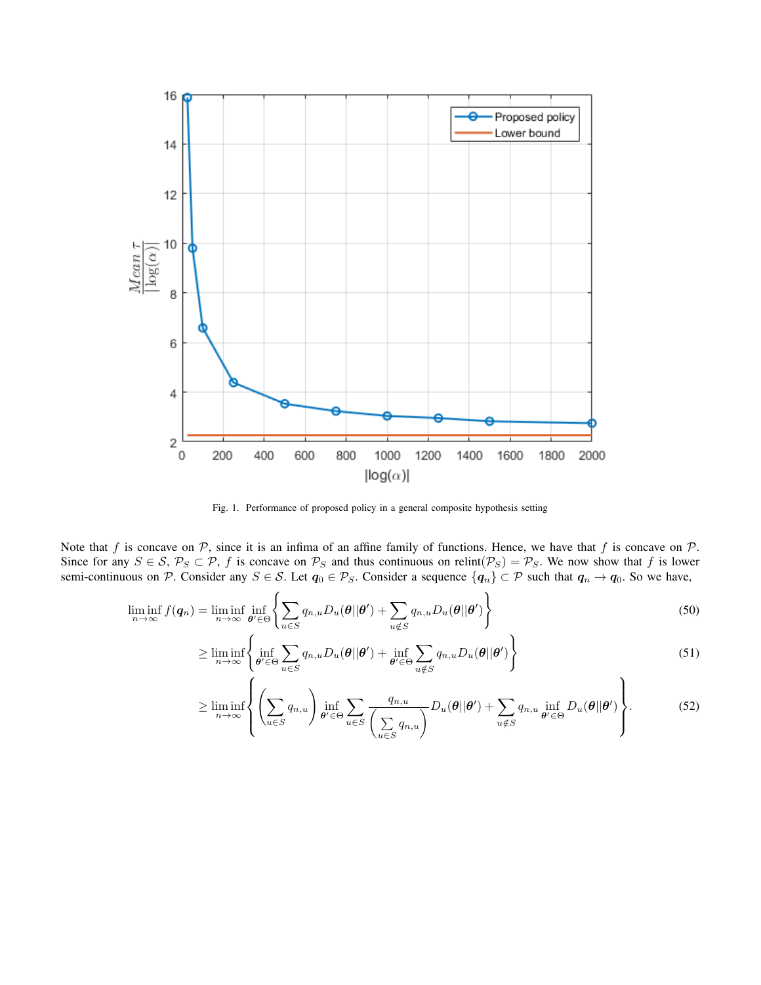

Fig. 1. Performance of proposed policy in a general composite hypothesis setting

Note that f is concave on  $P$ , since it is an infima of an affine family of functions. Hence, we have that f is concave on  $P$ . Since for any  $S \in S$ ,  $\mathcal{P}_S \subset \mathcal{P}$ , f is concave on  $\mathcal{P}_S$  and thus continuous on relint( $\mathcal{P}_S$ ) =  $\mathcal{P}_S$ . We now show that f is lower semi-continuous on P. Consider any  $S \in S$ . Let  $q_0 \in \mathcal{P}_S$ . Consider a sequence  $\{q_n\} \subset \mathcal{P}$  such that  $q_n \to q_0$ . So we have,

$$
\liminf_{n \to \infty} f(\boldsymbol{q}_n) = \liminf_{n \to \infty} \inf_{\boldsymbol{\theta}' \in \Theta} \left\{ \sum_{u \in S} q_{n,u} D_u(\boldsymbol{\theta} | \boldsymbol{\theta}') + \sum_{u \notin S} q_{n,u} D_u(\boldsymbol{\theta} | \boldsymbol{\theta}') \right\}
$$
(50)

$$
\geq \liminf_{n \to \infty} \left\{ \inf_{\theta' \in \Theta} \sum_{u \in S} q_{n,u} D_u(\theta | \theta') + \inf_{\theta' \in \Theta} \sum_{u \notin S} q_{n,u} D_u(\theta | \theta') \right\}
$$
(51)

$$
\geq \liminf_{n \to \infty} \left\{ \left( \sum_{u \in S} q_{n,u} \right) \inf_{\theta' \in \Theta} \sum_{u \in S} \frac{q_{n,u}}{\left( \sum_{u \in S} q_{n,u} \right)} D_u(\theta | \theta') + \sum_{u \notin S} q_{n,u} \inf_{\theta' \in \Theta} D_u(\theta | \theta') \right\}.
$$
 (52)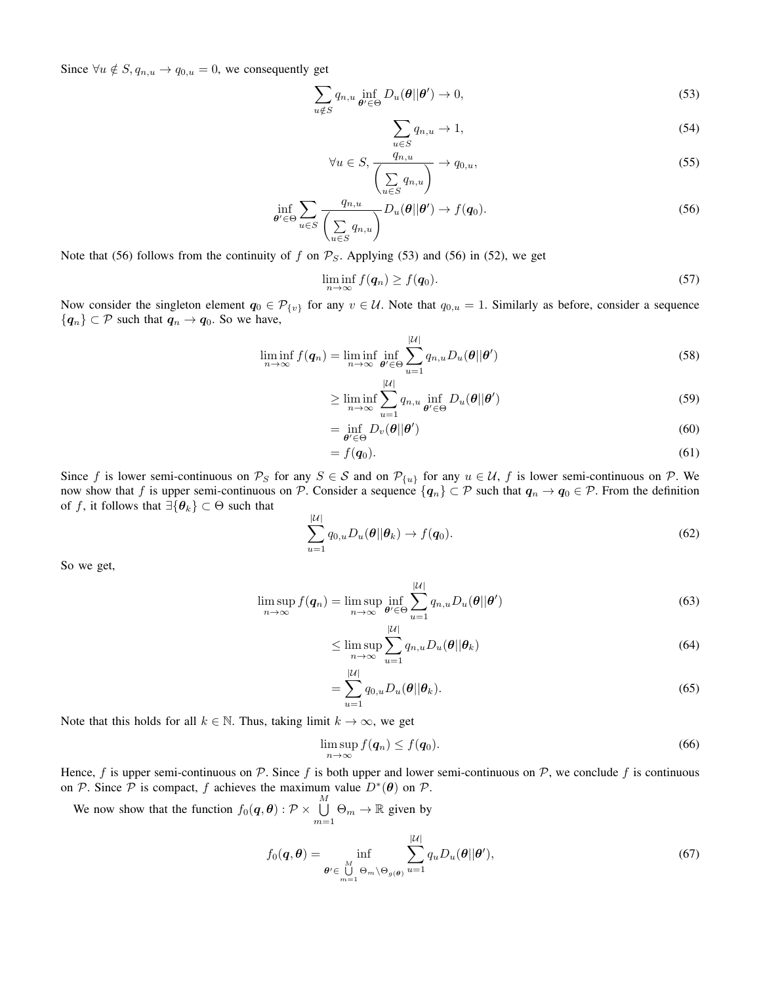Since  $\forall u \notin S, q_{n,u} \to q_{0,u} = 0$ , we consequently get

$$
\sum_{u \notin S} q_{n,u} \inf_{\boldsymbol{\theta}' \in \Theta} D_u(\boldsymbol{\theta} || \boldsymbol{\theta}') \to 0,
$$
\n(53)

$$
\sum_{u \in S} q_{n,u} \to 1,\tag{54}
$$

$$
\forall u \in S, \frac{q_{n,u}}{\left(\sum_{u \in S} q_{n,u}\right)} \to q_{0,u},\tag{55}
$$

$$
\inf_{\theta' \in \Theta} \sum_{u \in S} \frac{q_{n,u}}{\left(\sum_{u \in S} q_{n,u}\right)} D_u(\theta || \theta') \to f(q_0).
$$
\n(56)

Note that (56) follows from the continuity of f on  $P_S$ . Applying (53) and (56) in (52), we get

$$
\liminf_{n \to \infty} f(\boldsymbol{q}_n) \ge f(\boldsymbol{q}_0). \tag{57}
$$

Now consider the singleton element  $q_0 \in \mathcal{P}_{\{v\}}$  for any  $v \in \mathcal{U}$ . Note that  $q_{0,u} = 1$ . Similarly as before, consider a sequence  ${q_n} \subset \mathcal{P}$  such that  $q_n \to q_0$ . So we have,

$$
\liminf_{n \to \infty} f(\boldsymbol{q}_n) = \liminf_{n \to \infty} \inf_{\boldsymbol{\theta}' \in \Theta} \sum_{u=1}^{|U|} q_{n,u} D_u(\boldsymbol{\theta}||\boldsymbol{\theta}')
$$
(58)

$$
\geq \liminf_{n \to \infty} \sum_{u=1}^{|\mathcal{U}|} q_{n,u} \inf_{\theta' \in \Theta} D_u(\theta | \theta')
$$
\n(59)

$$
= \inf_{\boldsymbol{\theta}^{\prime} \in \Theta} D_v(\boldsymbol{\theta} || \boldsymbol{\theta}^{\prime})
$$
\n(60)

$$
=f(\boldsymbol{q}_0). \tag{61}
$$

Since f is lower semi-continuous on  $\mathcal{P}_S$  for any  $S \in \mathcal{S}$  and on  $\mathcal{P}_{\{u\}}$  for any  $u \in \mathcal{U}$ , f is lower semi-continuous on  $\mathcal{P}$ . We now show that f is upper semi-continuous on P. Consider a sequence  $\{q_n\} \subset \mathcal{P}$  such that  $q_n \to q_0 \in \mathcal{P}$ . From the definition of f, it follows that  $\exists {\theta_k} \subset \Theta$  such that

$$
\sum_{u=1}^{|\mathcal{U}|} q_{0,u} D_u(\boldsymbol{\theta}||\boldsymbol{\theta}_k) \to f(\boldsymbol{q}_0). \tag{62}
$$

So we get,

$$
\limsup_{n \to \infty} f(\boldsymbol{q}_n) = \limsup_{n \to \infty} \inf_{\boldsymbol{\theta}' \in \Theta} \sum_{u=1}^{|U|} q_{n,u} D_u(\boldsymbol{\theta}||\boldsymbol{\theta}')
$$
(63)

$$
\leq \limsup_{n \to \infty} \sum_{u=1}^{|U|} q_{n,u} D_u(\theta || \theta_k)
$$
\n(64)

$$
=\sum_{u=1}^{|U|}q_{0,u}D_u(\boldsymbol{\theta}||\boldsymbol{\theta}_k).
$$
\n(65)

Note that this holds for all  $k \in \mathbb{N}$ . Thus, taking limit  $k \to \infty$ , we get

$$
\limsup_{n\to\infty} f(\boldsymbol{q}_n) \leq f(\boldsymbol{q}_0). \tag{66}
$$

Hence, f is upper semi-continuous on P. Since f is both upper and lower semi-continuous on P, we conclude f is continuous on P. Since P is compact, f achieves the maximum value  $D^*(\theta)$  on P.

We now show that the function  $f_0(q, \theta)$  :  $\mathcal{P} \times \bigcup^M$  $\bigcup_{m=1}^{\infty} \Theta_m \to \mathbb{R}$  given by

$$
f_0(\boldsymbol{q}, \boldsymbol{\theta}) = \inf_{\boldsymbol{\theta}' \in \bigcup_{m=1}^M \Theta_m \backslash \Theta_{g(\boldsymbol{\theta})}} \sum_{u=1}^{|U|} q_u D_u(\boldsymbol{\theta}||\boldsymbol{\theta}'),
$$
\n(67)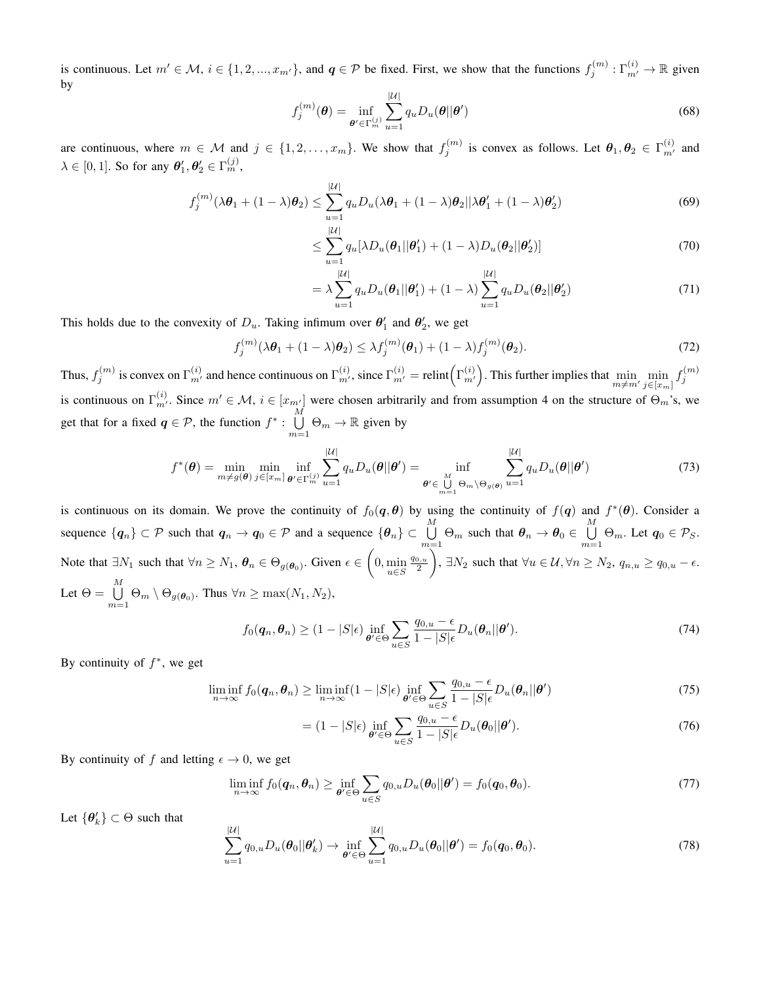is continuous. Let  $m' \in \mathcal{M}$ ,  $i \in \{1, 2, ..., x_{m'}\}$ , and  $q \in \mathcal{P}$  be fixed. First, we show that the functions  $f_j^{(m)} : \Gamma_{m'}^{(i)} \to \mathbb{R}$  given by

$$
f_j^{(m)}(\boldsymbol{\theta}) = \inf_{\boldsymbol{\theta}' \in \Gamma_m^{(j)}} \sum_{u=1}^{|U|} q_u D_u(\boldsymbol{\theta}||\boldsymbol{\theta}')
$$
(68)

are continuous, where  $m \in \mathcal{M}$  and  $j \in \{1, 2, ..., x_m\}$ . We show that  $f_j^{(m)}$  is convex as follows. Let  $\theta_1, \theta_2 \in \Gamma_{m'}^{(i)}$  and  $\lambda \in [0, 1]$ . So for any  $\theta'_1, \theta'_2 \in \Gamma_m^{(j)}$ ,

$$
f_j^{(m)}(\lambda \boldsymbol{\theta}_1 + (1 - \lambda)\boldsymbol{\theta}_2) \le \sum_{u=1}^{|\mathcal{U}|} q_u D_u(\lambda \boldsymbol{\theta}_1 + (1 - \lambda)\boldsymbol{\theta}_2 || \lambda \boldsymbol{\theta}'_1 + (1 - \lambda)\boldsymbol{\theta}'_2)
$$
(69)

$$
\leq \sum_{u=1}^{|\mathcal{U}|} q_u [\lambda D_u(\boldsymbol{\theta}_1 || \boldsymbol{\theta}_1') + (1 - \lambda) D_u(\boldsymbol{\theta}_2 || \boldsymbol{\theta}_2')]
$$
\n(70)

$$
= \lambda \sum_{u=1}^{|\mathcal{U}|} q_u D_u(\theta_1 || \theta'_1) + (1 - \lambda) \sum_{u=1}^{|\mathcal{U}|} q_u D_u(\theta_2 || \theta'_2)
$$
(71)

This holds due to the convexity of  $D_u$ . Taking infimum over  $\theta'_1$  and  $\theta'_2$ , we get

$$
f_j^{(m)}(\lambda \boldsymbol{\theta}_1 + (1 - \lambda)\boldsymbol{\theta}_2) \leq \lambda f_j^{(m)}(\boldsymbol{\theta}_1) + (1 - \lambda)f_j^{(m)}(\boldsymbol{\theta}_2). \tag{72}
$$

Thus,  $f_j^{(m)}$  is convex on  $\Gamma_{m'}^{(i)}$  and hence continuous on  $\Gamma_{m'}^{(i)}$ , since  $\Gamma_{m'}^{(i)} =$  relint $(\Gamma_{m'}^{(i)})$ . This further implies that  $\min_{m \neq m'} \min_{j \in [x_m]}$  $j \in [x_m]$  $f_j^{(m)}$ is continuous on  $\Gamma_{m'}^{(i)}$ . Since  $m' \in \mathcal{M}$ ,  $i \in [x_{m'}]$  were chosen arbitrarily and from assumption 4 on the structure of  $\Theta_m$ 's, we get that for a fixed  $q \in \mathcal{P}$ , the function  $f^*$ :  $\bigcup^M$  $\bigcup_{m=1}^{\infty} \Theta_m \to \mathbb{R}$  given by

$$
f^*(\boldsymbol{\theta}) = \min_{m \neq g(\boldsymbol{\theta})} \min_{j \in [x_m]} \inf_{\boldsymbol{\theta}' \in \Gamma_m^{(j)}} \sum_{u=1}^{|\mathcal{U}|} q_u D_u(\boldsymbol{\theta}||\boldsymbol{\theta}') = \inf_{\boldsymbol{\theta}' \in \bigcup_{m=1}^M \Theta_m \backslash \Theta_{g(\boldsymbol{\theta})}} \sum_{u=1}^{|\mathcal{U}|} q_u D_u(\boldsymbol{\theta}||\boldsymbol{\theta}')
$$
(73)

is continuous on its domain. We prove the continuity of  $f_0(q,\theta)$  by using the continuity of  $f(q)$  and  $f^*(\theta)$ . Consider a sequence  $\{\boldsymbol{q}_n\}\subset\mathcal{P}$  such that  $\boldsymbol{q}_n\to\boldsymbol{q}_0\in\mathcal{P}$  and a sequence  $\{\boldsymbol{\theta}_n\}\subset\bigcup^M$  $\bigcup_{m=1}^{M} \Theta_m$  such that  $\theta_n \to \theta_0 \in \bigcup_{m=1}^{M}$  $\bigcup_{m=1} \Theta_m$ . Let  $q_0 \in \mathcal{P}_S$ . Note that  $\exists N_1$  such that  $\forall n \ge N_1$ ,  $\theta_n \in \Theta_{g(\theta_0)}$ . Given  $\epsilon \in \left(0, \min_{u \in S} \mathbb{I}_{u \in S} \right)$  $rac{q_{0,u}}{2}$ ),  $\exists N_2$  such that  $\forall u \in \mathcal{U}, \forall n \ge N_2$ ,  $q_{n,u} \ge q_{0,u} - \epsilon$ . Let  $\Theta = \bigcup^{M}$  $\bigcup_{m=1} \Theta_m \setminus \Theta_{g(\boldsymbol{\theta}_0)}$ . Thus  $\forall n \ge \max(N_1, N_2)$ ,

$$
f_0(\boldsymbol{q}_n, \boldsymbol{\theta}_n) \ge (1 - |S|\epsilon) \inf_{\boldsymbol{\theta}' \in \Theta} \sum_{u \in S} \frac{q_{0,u} - \epsilon}{1 - |S|\epsilon} D_u(\boldsymbol{\theta}_n || \boldsymbol{\theta}'). \tag{74}
$$

By continuity of  $f^*$ , we get

$$
\liminf_{n \to \infty} f_0(q_n, \theta_n) \ge \liminf_{n \to \infty} (1 - |S|\epsilon) \inf_{\theta' \in \Theta} \sum_{u \in S} \frac{q_{0,u} - \epsilon}{1 - |S|\epsilon} D_u(\theta_n || \theta')
$$
\n(75)

$$
= (1 - |S|\epsilon) \inf_{\theta' \in \Theta} \sum_{u \in S} \frac{q_{0,u} - \epsilon}{1 - |S|\epsilon} D_u(\theta_0 || \theta'). \tag{76}
$$

By continuity of f and letting  $\epsilon \to 0$ , we get

$$
\liminf_{n \to \infty} f_0(q_n, \theta_n) \ge \inf_{\theta' \in \Theta} \sum_{u \in S} q_{0,u} D_u(\theta_0 || \theta') = f_0(q_0, \theta_0).
$$
\n(77)

Let  $\{\theta_k\} \subset \Theta$  such that

$$
\sum_{u=1}^{|\mathcal{U}|} q_{0,u} D_u(\boldsymbol{\theta}_0 || \boldsymbol{\theta}'_k) \rightarrow \inf_{\boldsymbol{\theta}' \in \Theta} \sum_{u=1}^{|\mathcal{U}|} q_{0,u} D_u(\boldsymbol{\theta}_0 || \boldsymbol{\theta}') = f_0(q_0, \boldsymbol{\theta}_0).
$$
\n(78)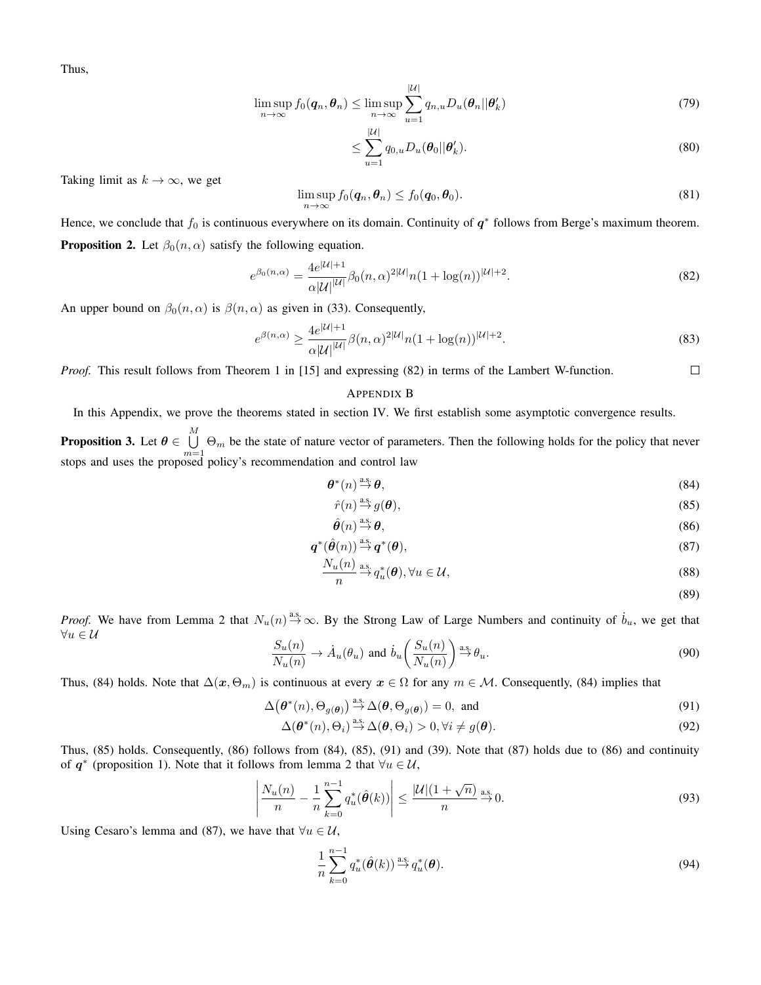Thus,

$$
\limsup_{n \to \infty} f_0(\boldsymbol{q}_n, \boldsymbol{\theta}_n) \le \limsup_{n \to \infty} \sum_{u=1}^{|\mathcal{U}|} q_{n,u} D_u(\boldsymbol{\theta}_n || \boldsymbol{\theta}'_k)
$$
(79)

$$
\leq \sum_{u=1}^{|{\mathcal{U}}|} q_{0,u} D_u(\boldsymbol{\theta}_0 || \boldsymbol{\theta}'_k). \tag{80}
$$

Taking limit as  $k \to \infty$ , we get

$$
\limsup_{n \to \infty} f_0(\boldsymbol{q}_n, \boldsymbol{\theta}_n) \le f_0(\boldsymbol{q}_0, \boldsymbol{\theta}_0). \tag{81}
$$

Hence, we conclude that  $f_0$  is continuous everywhere on its domain. Continuity of  $q^*$  follows from Berge's maximum theorem. **Proposition 2.** Let  $\beta_0(n, \alpha)$  satisfy the following equation.

$$
e^{\beta_0(n,\alpha)} = \frac{4e^{|\mathcal{U}|+1}}{\alpha|\mathcal{U}|^{|\mathcal{U}|}} \beta_0(n,\alpha)^{2|\mathcal{U}|} n(1 + \log(n))^{|\mathcal{U}|+2}.
$$
\n(82)

An upper bound on  $\beta_0(n, \alpha)$  is  $\beta(n, \alpha)$  as given in (33). Consequently,

$$
e^{\beta(n,\alpha)} \ge \frac{4e^{|U|+1}}{\alpha|U|^{|U|}} \beta(n,\alpha)^{2|U|} n(1+\log(n))^{|U|+2}.
$$
\n(83)

*Proof.* This result follows from Theorem 1 in [15] and expressing (82) in terms of the Lambert W-function.  $\Box$ 

## APPENDIX B

In this Appendix, we prove the theorems stated in section IV. We first establish some asymptotic convergence results.

**Proposition 3.** Let  $\boldsymbol{\theta} \in \bigcup^{M}$  $\bigcup_{m=1}$   $\Theta_m$  be the state of nature vector of parameters. Then the following holds for the policy that never stops and uses the proposed policy's recommendation and control law

$$
\boldsymbol{\theta}^*(n) \stackrel{\text{a.s.}}{\to} \boldsymbol{\theta},\tag{84}
$$

$$
\hat{r}(n) \stackrel{\text{a.s.}}{\rightarrow} g(\boldsymbol{\theta}),\tag{85}
$$

$$
\hat{\boldsymbol{\theta}}(n) \stackrel{\text{a.s.}}{\to} \boldsymbol{\theta},\tag{86}
$$

$$
\boldsymbol{q}^*(\hat{\boldsymbol{\theta}}(n)) \stackrel{\text{a.s.}}{\to} \boldsymbol{q}^*(\boldsymbol{\theta}),\tag{87}
$$

$$
\frac{N_u(n)}{n} \stackrel{\text{a.s.}}{\to} q_u^*(\boldsymbol{\theta}), \forall u \in \mathcal{U},\tag{88}
$$

(89)

*Proof.* We have from Lemma 2 that  $N_u(n) \stackrel{\text{a.s.}}{\rightarrow} \infty$ . By the Strong Law of Large Numbers and continuity of  $\dot{b}_u$ , we get that  $\forall u \in \mathcal{U}$ 

$$
\frac{S_u(n)}{N_u(n)} \to \dot{A}_u(\theta_u) \text{ and } \dot{b}_u\left(\frac{S_u(n)}{N_u(n)}\right) \stackrel{\text{a.s.}}{\to} \theta_u.
$$
 (90)

Thus, (84) holds. Note that  $\Delta(x, \Theta_m)$  is continuous at every  $x \in \Omega$  for any  $m \in \mathcal{M}$ . Consequently, (84) implies that

$$
\Delta(\boldsymbol{\theta}^*(n), \Theta_{g(\boldsymbol{\theta})}) \stackrel{\text{a.s.}}{\to} \Delta(\boldsymbol{\theta}, \Theta_{g(\boldsymbol{\theta})}) = 0, \text{ and}
$$
\n(91)

$$
\Delta(\boldsymbol{\theta}^*(n), \Theta_i) \stackrel{\text{a.s.}}{\to} \Delta(\boldsymbol{\theta}, \Theta_i) > 0, \forall i \neq g(\boldsymbol{\theta}).
$$
\n(92)

Thus, (85) holds. Consequently, (86) follows from (84), (85), (91) and (39). Note that (87) holds due to (86) and continuity of  $q^*$  (proposition 1). Note that it follows from lemma 2 that  $\forall u \in \mathcal{U}$ ,

$$
\left| \frac{N_u(n)}{n} - \frac{1}{n} \sum_{k=0}^{n-1} q_u^*(\hat{\boldsymbol{\theta}}(k)) \right| \le \frac{|\mathcal{U}| (1 + \sqrt{n})}{n} \stackrel{\text{a.s.}}{\to} 0. \tag{93}
$$

Using Cesaro's lemma and (87), we have that  $\forall u \in \mathcal{U}$ ,

$$
\frac{1}{n}\sum_{k=0}^{n-1}q_u^*(\hat{\boldsymbol{\theta}}(k))^{\frac{a.s.}{2}}q_u^*(\boldsymbol{\theta}).
$$
\n(94)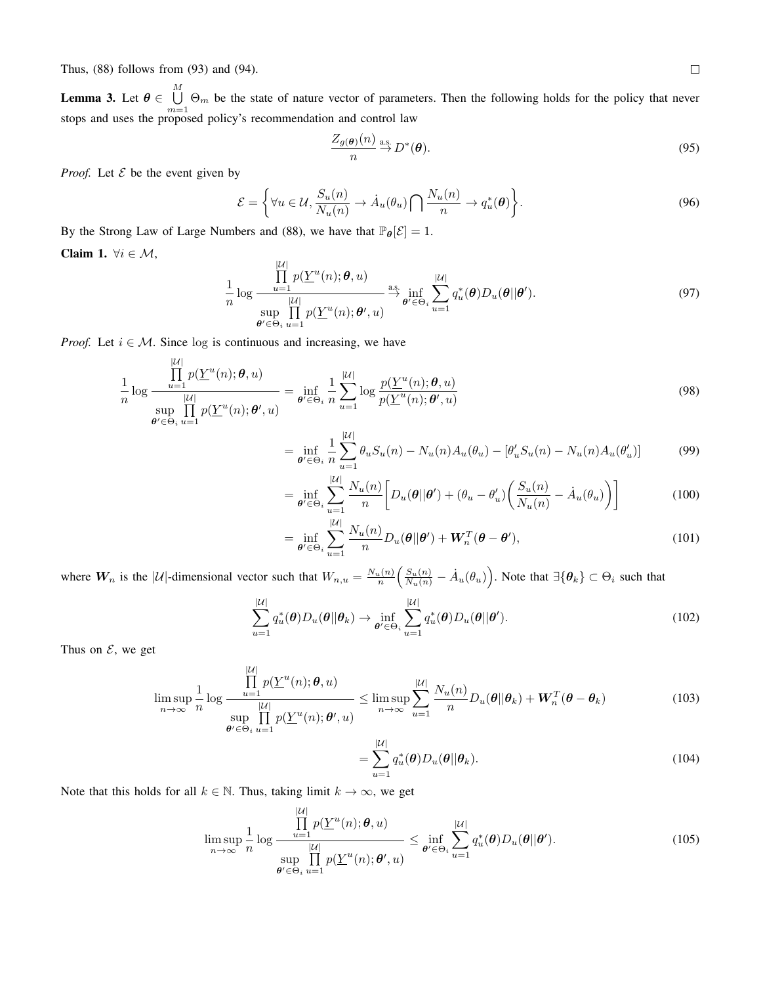Thus, (88) follows from (93) and (94).

**Lemma 3.** Let  $\boldsymbol{\theta} \in \bigcup^{M}$  $\bigcup_{m=1} \Theta_m$  be the state of nature vector of parameters. Then the following holds for the policy that never stops and uses the proposed policy's recommendation and control law

$$
\frac{Z_{g(\boldsymbol{\theta})}(n)}{n} \stackrel{\text{a.s.}}{\to} D^*(\boldsymbol{\theta}).
$$
\n(95)

*Proof.* Let  $\mathcal E$  be the event given by

$$
\mathcal{E} = \left\{ \forall u \in \mathcal{U}, \frac{S_u(n)}{N_u(n)} \to \dot{A}_u(\theta_u) \bigcap \frac{N_u(n)}{n} \to q_u^*(\theta) \right\}.
$$
\n(96)

By the Strong Law of Large Numbers and (88), we have that  $\mathbb{P}_{\theta}[\mathcal{E}] = 1$ .

Claim 1.  $\forall i \in \mathcal{M}$ ,

$$
\frac{1}{n}\log\frac{\prod_{u=1}^{|\mathcal{U}|}p(\underline{Y}^{u}(n);\boldsymbol{\theta},u)}{\sup_{\boldsymbol{\theta}'\in\Theta_{i}}\prod_{u=1}^{|\mathcal{U}|}p(\underline{Y}^{u}(n);\boldsymbol{\theta}',u)}\overset{\text{a.s.}}{\underset{\boldsymbol{\theta}'\in\Theta_{i}}{\to}}\inf_{u=1}^{|\mathcal{U}|}2_{u}^{*}(\boldsymbol{\theta})D_{u}(\boldsymbol{\theta}||\boldsymbol{\theta}').
$$
\n(97)

*Proof.* Let  $i \in M$ . Since log is continuous and increasing, we have

$$
\frac{1}{n}\log\frac{\prod_{u=1}^{|\mathcal{U}|}p(\underline{Y}^{u}(n);\theta,u)}{\sup_{\theta'\in\Theta_i}\prod_{u=1}^{|\mathcal{U}|}p(\underline{Y}^{u}(n);\theta',u)} = \inf_{\theta'\in\Theta_i}\frac{1}{n}\sum_{u=1}^{|\mathcal{U}|}\log\frac{p(\underline{Y}^{u}(n);\theta,u)}{p(\underline{Y}^{u}(n);\theta',u)}
$$
\n(98)

$$
= \inf_{\theta' \in \Theta_i} \frac{1}{n} \sum_{u=1}^{|U|} \theta_u S_u(n) - N_u(n) A_u(\theta_u) - [\theta'_u S_u(n) - N_u(n) A_u(\theta'_u)] \tag{99}
$$

$$
= \inf_{\theta' \in \Theta_i} \sum_{u=1}^{|U|} \frac{N_u(n)}{n} \bigg[ D_u(\theta || \theta') + (\theta_u - \theta'_u) \bigg( \frac{S_u(n)}{N_u(n)} - \dot{A}_u(\theta_u) \bigg) \bigg]
$$
(100)

$$
= \inf_{\theta' \in \Theta_i} \sum_{u=1}^{|U|} \frac{N_u(n)}{n} D_u(\theta | \theta') + \boldsymbol{W}_n^T(\boldsymbol{\theta} - \boldsymbol{\theta}'), \qquad (101)
$$

where  $W_n$  is the |U|-dimensional vector such that  $W_{n,u} = \frac{N_u(n)}{n} \left( \frac{S_u(n)}{N_u(n)} - \dot{A}_u(\theta_u) \right)$ . Note that  $\exists \{\theta_k\} \subset \Theta_i$  such that

$$
\sum_{u=1}^{|\mathcal{U}|} q_u^*(\boldsymbol{\theta}) D_u(\boldsymbol{\theta}||\boldsymbol{\theta}_k) \to \inf_{\boldsymbol{\theta}' \in \Theta_i} \sum_{u=1}^{|\mathcal{U}|} q_u^*(\boldsymbol{\theta}) D_u(\boldsymbol{\theta}||\boldsymbol{\theta}'). \tag{102}
$$

Thus on  $\mathcal{E}$ , we get

$$
\limsup_{n \to \infty} \frac{1}{n} \log \frac{\prod_{u=1}^{|\mathcal{U}|} p(\underline{Y}^u(n); \theta, u)}{\sup_{\theta' \in \Theta_i} \prod_{u=1}^{|\mathcal{U}|} p(\underline{Y}^u(n); \theta', u)} \le \limsup_{n \to \infty} \sum_{u=1}^{|\mathcal{U}|} \frac{N_u(n)}{n} D_u(\theta || \theta_k) + \mathbf{W}_n^T(\theta - \theta_k)
$$
(103)

$$
=\sum_{u=1}^{|\mathcal{U}|} q_u^*(\boldsymbol{\theta}) D_u(\boldsymbol{\theta}||\boldsymbol{\theta}_k).
$$
\n(104)

Note that this holds for all  $k \in \mathbb{N}$ . Thus, taking limit  $k \to \infty$ , we get

$$
\limsup_{n \to \infty} \frac{1}{n} \log \frac{\prod_{u=1}^{|\mathcal{U}|} p(\underline{Y}^u(n); \boldsymbol{\theta}, u)}{\sup_{\boldsymbol{\theta}' \in \Theta_i} \prod_{u=1}^{|\mathcal{U}|} p(\underline{Y}^u(n); \boldsymbol{\theta}', u)} \leq \inf_{\boldsymbol{\theta}' \in \Theta_i} \sum_{u=1}^{|\mathcal{U}|} q_u^*(\boldsymbol{\theta}) D_u(\boldsymbol{\theta} || \boldsymbol{\theta}'). \tag{105}
$$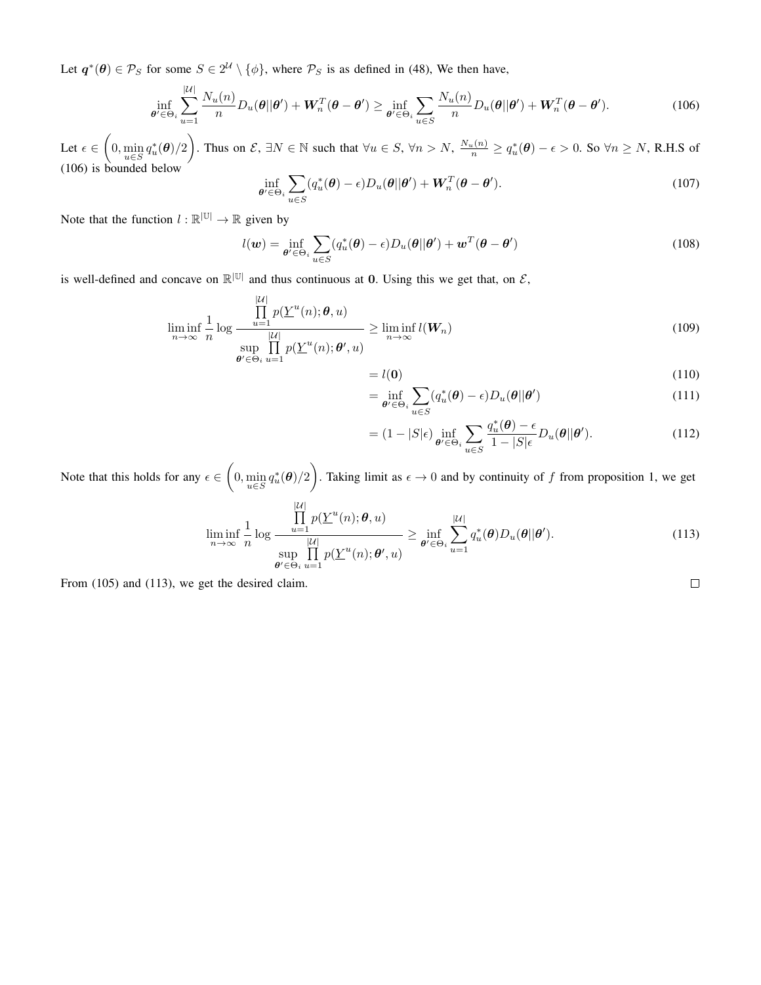Let  $q^*(\theta) \in \mathcal{P}_S$  for some  $S \in 2^{\mathcal{U}} \setminus \{\phi\}$ , where  $\mathcal{P}_S$  is as defined in (48), We then have,

$$
\inf_{\theta' \in \Theta_i} \sum_{u=1}^{|U|} \frac{N_u(n)}{n} D_u(\theta | \theta') + \boldsymbol{W}_n^T(\boldsymbol{\theta} - \boldsymbol{\theta}') \ge \inf_{\boldsymbol{\theta}' \in \Theta_i} \sum_{u \in S} \frac{N_u(n)}{n} D_u(\boldsymbol{\theta} | \boldsymbol{\theta}') + \boldsymbol{W}_n^T(\boldsymbol{\theta} - \boldsymbol{\theta}'). \tag{106}
$$

Let  $\epsilon \in (0, \min_{u \in S} q_u^*(\theta)/2)$ . Thus on  $\mathcal{E}, \exists N \in \mathbb{N}$  such that  $\forall u \in S, \forall n > N, \frac{N_u(n)}{n} \ge q_u^*(\theta) - \epsilon > 0$ . So  $\forall n \ge N$ , R.H.S of (106) is bounded below

$$
\inf_{\theta' \in \Theta_i} \sum_{u \in S} (q_u^*(\theta) - \epsilon) D_u(\theta | \theta') + \boldsymbol{W}_n^T(\theta - \theta'). \tag{107}
$$

Note that the function  $l : \mathbb{R}^{|\mathbb{U}|} \to \mathbb{R}$  given by

$$
l(\boldsymbol{w}) = \inf_{\boldsymbol{\theta}' \in \Theta_i} \sum_{u \in S} (q_u^*(\boldsymbol{\theta}) - \epsilon) D_u(\boldsymbol{\theta}||\boldsymbol{\theta}') + \boldsymbol{w}^T(\boldsymbol{\theta} - \boldsymbol{\theta}')
$$
(108)

is well-defined and concave on  $\mathbb{R}^{|\mathbb{U}|}$  and thus continuous at 0. Using this we get that, on  $\mathcal{E}$ ,

$$
\liminf_{n \to \infty} \frac{1}{n} \log \frac{\prod_{u=1}^{|\mathcal{U}|} p(\underline{Y}^u(n); \boldsymbol{\theta}, u)}{\sup_{\boldsymbol{\theta}' \in \Theta_i} \prod_{u=1}^{|\mathcal{U}|} p(\underline{Y}^u(n); \boldsymbol{\theta}', u)} \ge \liminf_{n \to \infty} l(\boldsymbol{W}_n)
$$
\n(109)

$$
=l(\mathbf{0})\tag{110}
$$

$$
= \inf_{\theta' \in \Theta_i} \sum_{u \in S} (q_u^*(\theta) - \epsilon) D_u(\theta | \theta')
$$
\n(111)

$$
= (1 - |S|\epsilon) \inf_{\theta' \in \Theta_i} \sum_{u \in S} \frac{q_u^*(\theta) - \epsilon}{1 - |S|\epsilon} D_u(\theta || \theta'). \tag{112}
$$

Note that this holds for any  $\epsilon \in (0, \min_{u \in S} q_u^*(\theta)/2)$ . Taking limit as  $\epsilon \to 0$  and by continuity of f from proposition 1, we get

$$
\liminf_{n \to \infty} \frac{1}{n} \log \frac{\prod_{u=1}^{|U|} p(\underline{Y}^u(n); \theta, u)}{\sup_{\theta' \in \Theta_i} \prod_{u=1}^{|U|} p(\underline{Y}^u(n); \theta', u)} \ge \inf_{\theta' \in \Theta_i} \sum_{u=1}^{|U|} q_u^*(\theta) D_u(\theta || \theta'). \tag{113}
$$

From (105) and (113), we get the desired claim.

 $\Box$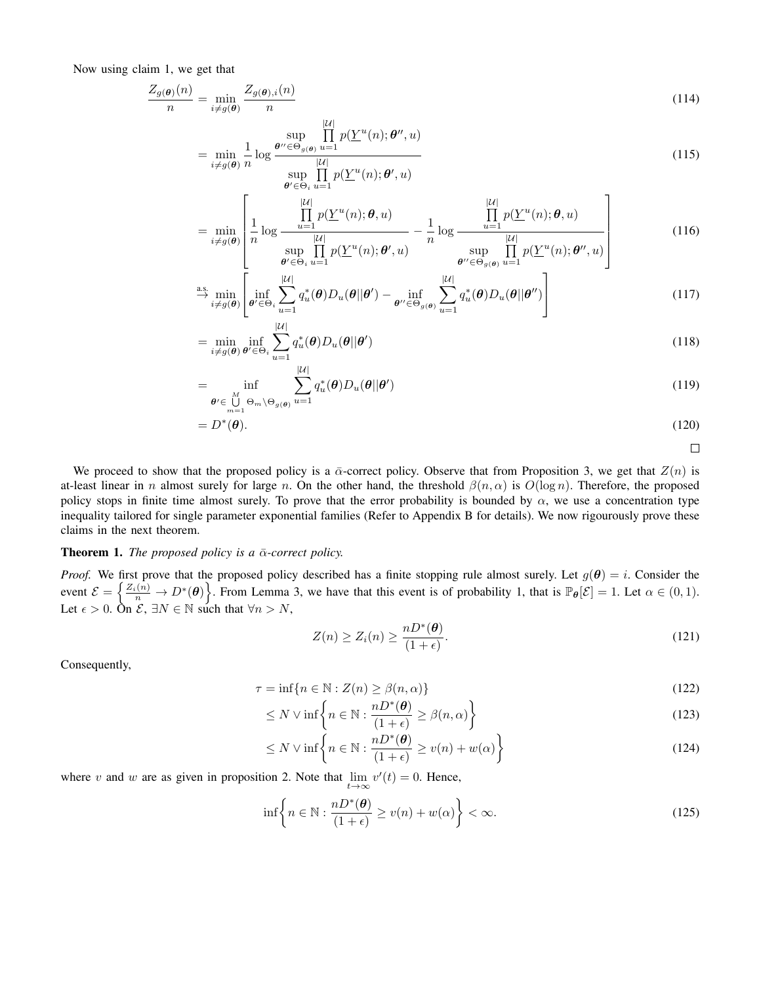Now using claim 1, we get that

$$
\frac{Z_{g(\boldsymbol{\theta})}(n)}{n} = \min_{i \neq g(\boldsymbol{\theta})} \frac{Z_{g(\boldsymbol{\theta}),i}(n)}{n}
$$
\n(114)

$$
= \min_{i \neq g(\boldsymbol{\theta})} \frac{1}{n} \log \frac{\sup_{\boldsymbol{\theta}'' \in \Theta_g(\boldsymbol{\theta})} \prod_{u=1}^m p(\underline{Y}^u(n); \boldsymbol{\theta}'', u)}{\sup_{\boldsymbol{\theta}' \in \Theta_i} \prod_{u=1}^{|U|} p(\underline{Y}^u(n); \boldsymbol{\theta}', u)}
$$
(115)

$$
\min_{i \neq g(\boldsymbol{\theta})} \left[ \frac{1}{n} \log \frac{\prod_{u=1}^{|\mathcal{U}|} p(\underline{Y}^u(n); \boldsymbol{\theta}, u)}{\sup \prod_{v=1}^{|\mathcal{U}|} p(\underline{Y}^u(n); \boldsymbol{\theta}', u)} - \frac{1}{n} \log \frac{\prod_{u=1}^{|\mathcal{U}|} p(\underline{Y}^u(n); \boldsymbol{\theta}, u)}{\sup \prod_{v=1}^{|\mathcal{U}|} p(\underline{Y}^u(n); \boldsymbol{\theta}'', u)} \right]
$$
(116)

$$
\sum_{\substack{\theta' \in \Theta_i}} \sup_{u=1} \prod_{u=1}^{\beta(\underline{Y}^u(n); \theta', u)} \sup_{\theta'' \in \Theta_{g(\theta)}} \prod_{u=1}^{\beta(\underline{Y}^u(n); \theta'', u)} \left[ \lim_{\theta'' \in \Theta_{g(\theta)}} \sum_{u=1}^{\beta(\underline{Y}^u(n); \theta'', u)} \right]
$$
\n
$$
\lim_{i \neq g(\theta)} \left[ \inf_{\theta' \in \Theta_i} \sum_{u=1}^{\vert \mathcal{U} \vert} q_u^*(\theta) D_u(\theta \|\theta') - \inf_{\theta'' \in \Theta_{g(\theta)}} \sum_{u=1}^{\vert \mathcal{U} \vert} q_u^*(\theta) D_u(\theta \|\theta'') \right] \tag{117}
$$

$$
= \min_{i \neq g(\boldsymbol{\theta})} \inf_{\boldsymbol{\theta}' \in \Theta_i} \sum_{u=1}^{|U|} q_u^*(\boldsymbol{\theta}) D_u(\boldsymbol{\theta}||\boldsymbol{\theta}')
$$
(118)

$$
= \inf_{\begin{subarray}{c} \theta' \in \bigcup_{m=1}^M \Theta_m \setminus \Theta_{g(\theta)} u = 1 \end{subarray}} \sum_{u=1}^{|U|} q_u^*(\theta) D_u(\theta || \theta')
$$
(119)

$$
=D^*(\boldsymbol{\theta}).\tag{120}
$$

$$
\qquad \qquad \Box
$$

We proceed to show that the proposed policy is a  $\bar{\alpha}$ -correct policy. Observe that from Proposition 3, we get that  $Z(n)$  is at-least linear in n almost surely for large n. On the other hand, the threshold  $\beta(n,\alpha)$  is  $O(\log n)$ . Therefore, the proposed policy stops in finite time almost surely. To prove that the error probability is bounded by  $\alpha$ , we use a concentration type inequality tailored for single parameter exponential families (Refer to Appendix B for details). We now rigourously prove these claims in the next theorem.

# **Theorem 1.** *The proposed policy is a*  $\bar{\alpha}$ -correct policy.

 $=$ 

*Proof.* We first prove that the proposed policy described has a finite stopping rule almost surely. Let  $g(\theta) = i$ . Consider the event  $\mathcal{E} = \left\{ \frac{Z_i(n)}{n} \to D^*(\theta) \right\}$ . From Lemma 3, we have that this event is of probability 1, that is  $\mathbb{P}_{\theta}[\mathcal{E}] = 1$ . Let  $\alpha \in (0,1)$ . Let  $\epsilon > 0$ . On  $\mathcal{E}, \exists N \in \mathbb{N}$  such that  $\forall n > N$ ,

$$
Z(n) \ge Z_i(n) \ge \frac{nD^*(\theta)}{(1+\epsilon)}.\tag{121}
$$

Consequently,

$$
\tau = \inf\{n \in \mathbb{N} : Z(n) \ge \beta(n, \alpha)\}\tag{122}
$$

$$
\leq N \vee \inf \left\{ n \in \mathbb{N} : \frac{nD^*(\boldsymbol{\theta})}{(1+\epsilon)} \geq \beta(n,\alpha) \right\} \tag{123}
$$

$$
\leq N \vee \inf \left\{ n \in \mathbb{N} : \frac{nD^*(\boldsymbol{\theta})}{(1+\epsilon)} \geq v(n) + w(\alpha) \right\}
$$
\n(124)

where v and w are as given in proposition 2. Note that  $\lim_{t\to\infty} v'(t) = 0$ . Hence,

$$
\inf \left\{ n \in \mathbb{N} : \frac{nD^*(\boldsymbol{\theta})}{(1+\epsilon)} \ge v(n) + w(\alpha) \right\} < \infty.
$$
\n(125)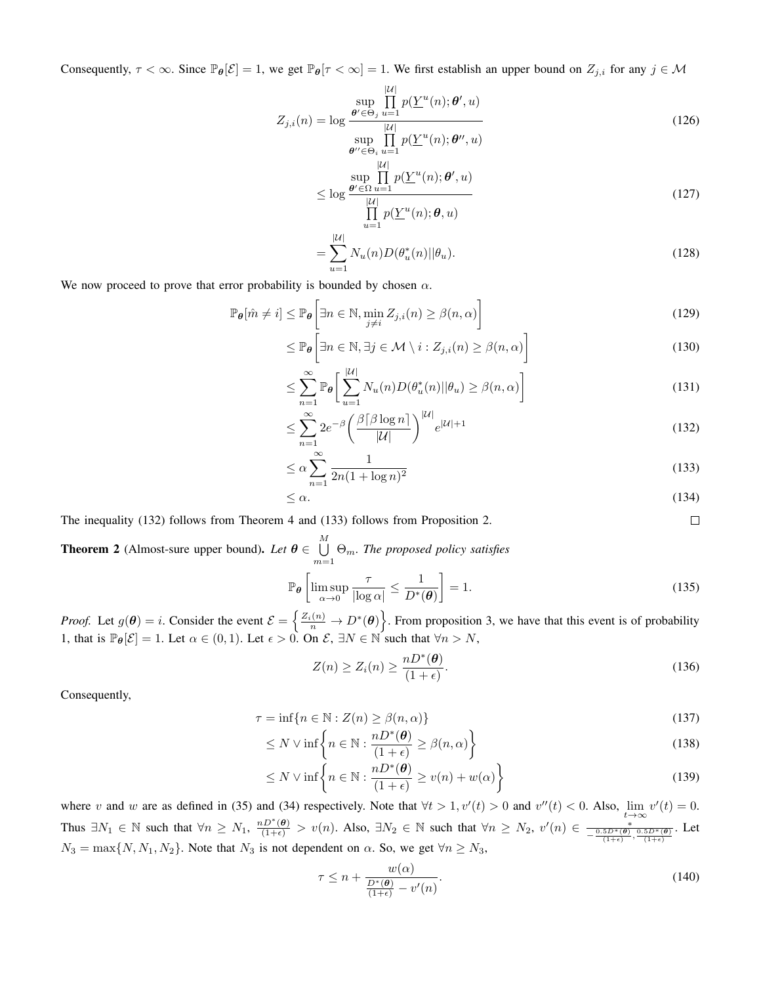Consequently,  $\tau < \infty$ . Since  $\mathbb{P}_{\theta}[\mathcal{E}] = 1$ , we get  $\mathbb{P}_{\theta}[\tau < \infty] = 1$ . We first establish an upper bound on  $Z_{j,i}$  for any  $j \in \mathcal{M}$ 

$$
Z_{j,i}(n) = \log \frac{\sup_{\theta' \in \Theta_j} \prod_{u=1}^{|\mathcal{U}|} p(\underline{Y}^u(n); \theta', u)}{\sup \prod_{v \in \mathcal{U} \setminus \mathcal{U}} p(\underline{Y}^u(n); \theta'', u)}
$$
(126)

$$
\theta'' \in \Theta_i u = 1
$$
\n
$$
\leq \log \frac{\theta' \in \Omega u = 1}{\prod_{u=1}^{|U|} p(\underline{Y}^u(n); \theta', u)}
$$
\n
$$
\leq \log \frac{\theta' \in \Omega u = 1}{\prod_{u=1}^{|U|} p(\underline{Y}^u(n); \theta, u)}
$$
\n(127)

$$
= \sum_{u=1}^{|U|} N_u(n) D(\theta_u^*(n) || \theta_u).
$$
 (128)

We now proceed to prove that error probability is bounded by chosen  $\alpha$ .

$$
\mathbb{P}_{\theta}[\hat{m} \neq i] \leq \mathbb{P}_{\theta} \left[ \exists n \in \mathbb{N}, \min_{j \neq i} Z_{j,i}(n) \geq \beta(n, \alpha) \right]
$$
(129)

$$
\leq \mathbb{P}_{\theta} \bigg[ \exists n \in \mathbb{N}, \exists j \in \mathcal{M} \setminus i : Z_{j,i}(n) \geq \beta(n,\alpha) \bigg]
$$
 (130)

$$
\leq \sum_{n=1}^{\infty} \mathbb{P}_{\theta} \bigg[ \sum_{u=1}^{|\mathcal{U}|} N_u(n) D(\theta_u^*(n) || \theta_u) \geq \beta(n, \alpha) \bigg] \tag{131}
$$

$$
\leq \sum_{n=1}^{\infty} 2e^{-\beta} \left( \frac{\beta \lceil \beta \log n \rceil}{|\mathcal{U}|} \right)^{|\mathcal{U}|} e^{|\mathcal{U}|+1} \tag{132}
$$

$$
\leq \alpha \sum_{n=1}^{\infty} \frac{1}{2n(1 + \log n)^2} \tag{133}
$$

$$
\leq \alpha. \tag{134}
$$

 $\Box$ 

The inequality (132) follows from Theorem 4 and (133) follows from Proposition 2.

**Theorem 2** (Almost-sure upper bound). Let  $\boldsymbol{\theta} \in \bigcup^M$  $\bigcup_{m=1}$   $\Theta_m$ . The proposed policy satisfies

$$
\mathbb{P}_{\theta}\left[\limsup_{\alpha \to 0} \frac{\tau}{|\log \alpha|} \le \frac{1}{D^*(\theta)}\right] = 1. \tag{135}
$$

*Proof.* Let  $g(\theta) = i$ . Consider the event  $\mathcal{E} = \left\{ \frac{Z_i(n)}{n} \to D^*(\theta) \right\}$ . From proposition 3, we have that this event is of probability 1, that is  $\mathbb{P}_{\theta}[\mathcal{E}] = 1$ . Let  $\alpha \in (0, 1)$ . Let  $\epsilon > 0$ . On  $\mathcal{E}, \exists N \in \mathbb{N}$  such that  $\forall n > N$ ,

$$
Z(n) \ge Z_i(n) \ge \frac{nD^*(\theta)}{(1+\epsilon)}.\tag{136}
$$

Consequently,

$$
\tau = \inf\{n \in \mathbb{N} : Z(n) \ge \beta(n, \alpha)\}\tag{137}
$$

$$
\leq N \vee \inf \left\{ n \in \mathbb{N} : \frac{nD^*(\boldsymbol{\theta})}{(1+\epsilon)} \geq \beta(n,\alpha) \right\} \tag{138}
$$

$$
\leq N \vee \inf \left\{ n \in \mathbb{N} : \frac{nD^*(\boldsymbol{\theta})}{(1+\epsilon)} \geq v(n) + w(\alpha) \right\}
$$
\n(139)

where v and w are as defined in (35) and (34) respectively. Note that  $\forall t > 1, v'(t) > 0$  and  $v''(t) < 0$ . Also,  $\lim_{t \to \infty} v'(t) = 0$ . Thus  $\exists N_1 \in \mathbb{N}$  such that  $\forall n \ge N_1$ ,  $\frac{nD^*(\theta)}{(1+\epsilon)} > v(n)$ . Also,  $\exists N_2 \in \mathbb{N}$  such that  $\forall n \ge N_2$ ,  $v'(n) \in \frac{\epsilon}{-\frac{0.5D^*(\theta)}{n}}$  $-\frac{\frac{*}{0.5D^*(\theta)}\frac{0.5D^*(\theta)}{(1+\epsilon)}}{\frac{0.1+\epsilon}{\theta}}$ . Let  $N_3 = \max\{N, N_1, N_2\}$ . Note that  $N_3$  is not dependent on  $\alpha$ . So, we get  $\forall n \ge N_3$ ,

$$
\tau \le n + \frac{w(\alpha)}{\frac{D^*(\theta)}{(1+\epsilon)} - v'(n)}.\tag{140}
$$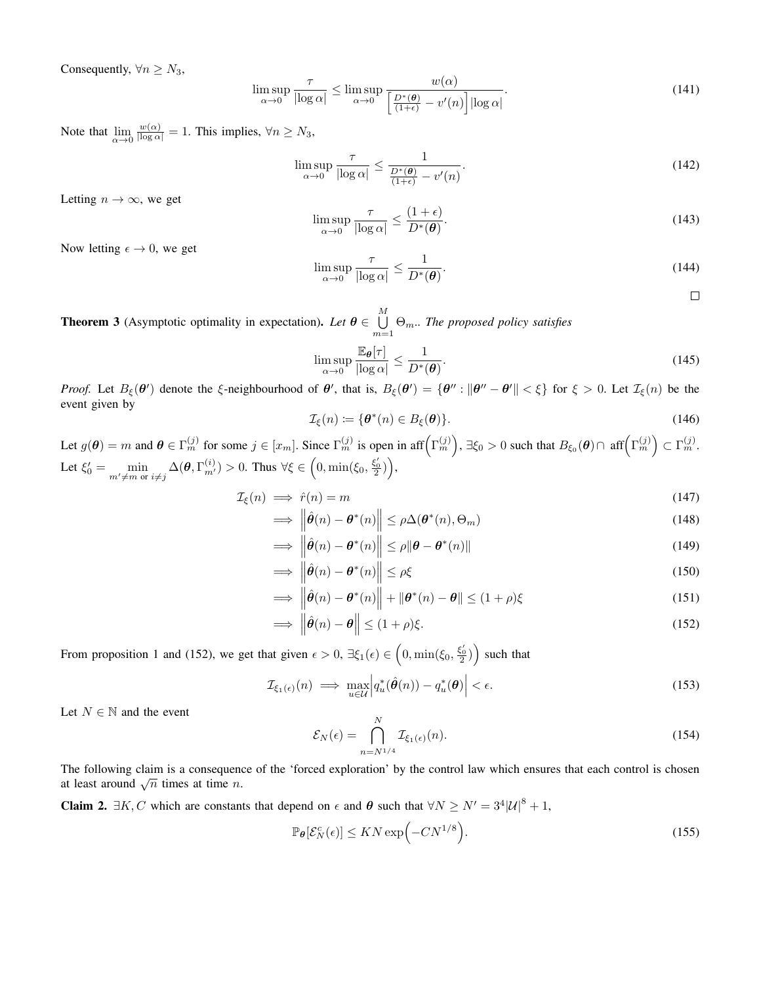Consequently,  $\forall n \geq N_3$ ,

$$
\limsup_{\alpha \to 0} \frac{\tau}{|\log \alpha|} \le \limsup_{\alpha \to 0} \frac{w(\alpha)}{\left[\frac{D^*(\theta)}{(1+\epsilon)} - v'(n)\right] |\log \alpha|}.
$$
\n(141)

Note that  $\lim_{\alpha \to 0} \frac{w(\alpha)}{|\log \alpha|} = 1$ . This implies,  $\forall n \ge N_3$ ,

$$
\limsup_{\alpha \to 0} \frac{\tau}{|\log \alpha|} \le \frac{1}{\frac{D^*(\theta)}{(1+\epsilon)} - v'(n)}.
$$
\n(142)

Letting  $n \to \infty$ , we get

$$
\limsup_{\alpha \to 0} \frac{\tau}{|\log \alpha|} \le \frac{(1+\epsilon)}{D^*(\theta)}.
$$
\n(143)

Now letting  $\epsilon \to 0$ , we get

$$
\limsup_{\alpha \to 0} \frac{\tau}{|\log \alpha|} \le \frac{1}{D^*(\boldsymbol{\theta})}.
$$
\n(144)

 $\Box$ 

**Theorem 3** (Asymptotic optimality in expectation). Let  $\boldsymbol{\theta} \in \bigcup^M$  $\bigcup_{m=1}$   $\Theta_m$ .. The proposed policy satisfies

$$
\limsup_{\alpha \to 0} \frac{\mathbb{E}_{\theta}[\tau]}{|\log \alpha|} \le \frac{1}{D^*(\theta)}.
$$
\n(145)

*Proof.* Let  $B_{\xi}(\theta')$  denote the  $\xi$ -neighbourhood of  $\theta'$ , that is,  $B_{\xi}(\theta') = {\theta'' : \|\theta'' - \theta'\| < \xi}$  for  $\xi > 0$ . Let  $\mathcal{I}_{\xi}(n)$  be the event given by

$$
\mathcal{I}_{\xi}(n) := \{ \boldsymbol{\theta}^*(n) \in B_{\xi}(\boldsymbol{\theta}) \}. \tag{146}
$$

Let  $g(\theta) = m$  and  $\theta \in \Gamma_m^{(j)}$  for some  $j \in [x_m]$ . Since  $\Gamma_m^{(j)}$  is open in aff $(\Gamma_m^{(j)})$ ,  $\exists \xi_0 > 0$  such that  $B_{\xi_0}(\theta) \cap \text{ aff}(\Gamma_m^{(j)}) \subset \Gamma_m^{(j)}$ . Let  $\xi'_0 = \min_{m' \neq m \text{ or } i \neq j} \Delta(\theta, \Gamma_{m'}^{(i)}) > 0$ . Thus  $\forall \xi \in \left(0, \min(\xi_0, \frac{\xi'_0}{2})\right)$ ,

$$
\mathcal{I}_{\xi}(n) \implies \hat{r}(n) = m \tag{147}
$$

$$
\implies \left\| \hat{\boldsymbol{\theta}}(n) - \boldsymbol{\theta}^*(n) \right\| \le \rho \Delta(\boldsymbol{\theta}^*(n), \Theta_m) \tag{148}
$$

$$
\implies \left\| \hat{\boldsymbol{\theta}}(n) - \boldsymbol{\theta}^*(n) \right\| \le \rho \|\boldsymbol{\theta} - \boldsymbol{\theta}^*(n)\| \tag{149}
$$

$$
\implies \left\| \hat{\boldsymbol{\theta}}(n) - \boldsymbol{\theta}^*(n) \right\| \le \rho \xi \tag{150}
$$

$$
\implies \left\| \hat{\boldsymbol{\theta}}(n) - \boldsymbol{\theta}^*(n) \right\| + \left\| \boldsymbol{\theta}^*(n) - \boldsymbol{\theta} \right\| \le (1 + \rho)\xi \tag{151}
$$

$$
\implies \left\|\hat{\boldsymbol{\theta}}(n) - \boldsymbol{\theta}\right\| \le (1+\rho)\xi. \tag{152}
$$

From proposition 1 and (152), we get that given  $\epsilon > 0$ ,  $\exists \xi_1(\epsilon) \in (0, \min(\xi_0, \frac{\xi'_0}{2}))$  such that

$$
\mathcal{I}_{\xi_1(\epsilon)}(n) \implies \max_{u \in \mathcal{U}} \left| q_u^*(\hat{\boldsymbol{\theta}}(n)) - q_u^*(\boldsymbol{\theta}) \right| < \epsilon. \tag{153}
$$

Let  $N \in \mathbb{N}$  and the event

$$
\mathcal{E}_N(\epsilon) = \bigcap_{n=N^{1/4}}^N \mathcal{I}_{\xi_1(\epsilon)}(n). \tag{154}
$$

The following claim is a consequence of the 'forced exploration' by the control law which ensures that each control is chosen at least around  $\sqrt{n}$  times at time *n*.

**Claim 2.**  $\exists K, C$  which are constants that depend on  $\epsilon$  and  $\theta$  such that  $\forall N \ge N' = 3^4 |\mathcal{U}|^8 + 1$ ,

$$
\mathbb{P}_{\theta}[\mathcal{E}_N^c(\epsilon)] \le KN \exp\left(-CN^{1/8}\right). \tag{155}
$$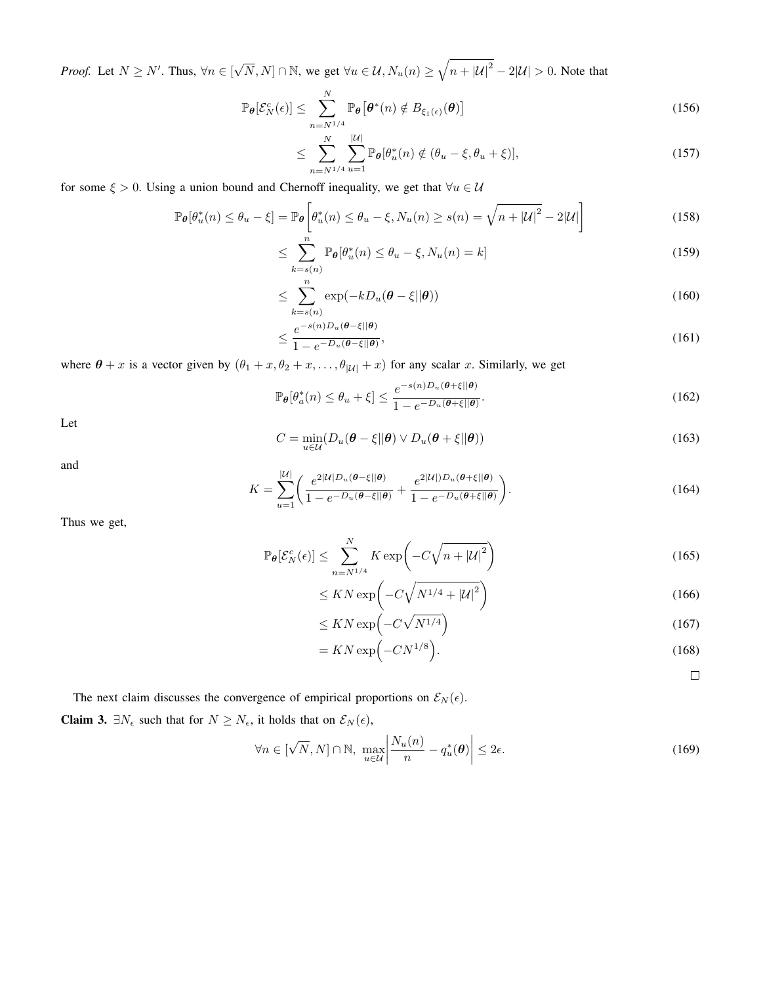*Proof.* Let  $N \ge N'$ . Thus,  $\forall n \in [\sqrt{N}, N] \cap \mathbb{N}$ , we get  $\forall u \in \mathcal{U}$ ,  $N_u(n) \ge \sqrt{n + |\mathcal{U}|^2} - 2|\mathcal{U}| > 0$ . Note that

$$
\mathbb{P}_{\theta}[\mathcal{E}_N^c(\epsilon)] \le \sum_{n=N^{1/4}}^N \mathbb{P}_{\theta}[\theta^*(n) \notin B_{\xi_1(\epsilon)}(\theta)] \tag{156}
$$

$$
\leq \sum_{n=N^{1/4}}^{N} \sum_{u=1}^{|U|} \mathbb{P}_{\theta}[\theta_u^*(n) \notin (\theta_u - \xi, \theta_u + \xi)], \tag{157}
$$

for some  $\xi > 0$ . Using a union bound and Chernoff inequality, we get that  $\forall u \in \mathcal{U}$ 

$$
\mathbb{P}_{\theta}[\theta_u^*(n) \le \theta_u - \xi] = \mathbb{P}_{\theta}\left[\theta_u^*(n) \le \theta_u - \xi, N_u(n) \ge s(n) = \sqrt{n + |\mathcal{U}|^2 - 2|\mathcal{U}|}\right]
$$
(158)

$$
\leq \sum_{k=s(n)}^{n} \mathbb{P}_{\theta}[\theta_u^*(n) \leq \theta_u - \xi, N_u(n) = k] \tag{159}
$$

$$
\leq \sum_{k=s(n)}^{n} \exp(-kD_u(\boldsymbol{\theta}-\xi||\boldsymbol{\theta})) \tag{160}
$$

$$
\leq \frac{e^{-s(n)D_u(\boldsymbol{\theta}-\xi||\boldsymbol{\theta})}}{1-e^{-D_u(\boldsymbol{\theta}-\xi||\boldsymbol{\theta})}},
$$
\n(161)

where  $\theta + x$  is a vector given by  $(\theta_1 + x, \theta_2 + x, \dots, \theta_{|\mathcal{U}|} + x)$  for any scalar x. Similarly, we get

$$
\mathbb{P}_{\theta}[\theta_a^*(n) \le \theta_u + \xi] \le \frac{e^{-s(n)D_u(\theta + \xi||\theta)}}{1 - e^{-D_u(\theta + \xi||\theta)}}.
$$
\n(162)

Let

$$
C = \min_{u \in \mathcal{U}} (D_u(\boldsymbol{\theta} - \xi || \boldsymbol{\theta}) \vee D_u(\boldsymbol{\theta} + \xi || \boldsymbol{\theta})) \tag{163}
$$

and

$$
K = \sum_{u=1}^{|U|} \left( \frac{e^{2|U|D_u(\theta - \xi||\theta)}}{1 - e^{-D_u(\theta - \xi||\theta)}} + \frac{e^{2|U|D_u(\theta + \xi||\theta)}}{1 - e^{-D_u(\theta + \xi||\theta)}} \right).
$$
(164)

Thus we get,

$$
\mathbb{P}_{\theta}[\mathcal{E}_N^c(\epsilon)] \le \sum_{n=N^{1/4}}^N K \exp\left(-C\sqrt{n+|\mathcal{U}|^2}\right)
$$
\n(165)

$$
\leq KN\exp\left(-C\sqrt{N^{1/4}+|\mathcal{U}|^2}\right) \tag{166}
$$

$$
\leq KN\exp\left(-C\sqrt{N^{1/4}}\right) \tag{167}
$$

$$
=KN\exp\left(-CN^{1/8}\right). \tag{168}
$$

 $\Box$ 

The next claim discusses the convergence of empirical proportions on  $\mathcal{E}_N(\epsilon)$ .

**Claim 3.**  $\exists N_{\epsilon}$  such that for  $N \geq N_{\epsilon}$ , it holds that on  $\mathcal{E}_N(\epsilon)$ ,

$$
\forall n \in [\sqrt{N}, N] \cap \mathbb{N}, \max_{u \in \mathcal{U}} \left| \frac{N_u(n)}{n} - q_u^*(\boldsymbol{\theta}) \right| \le 2\epsilon. \tag{169}
$$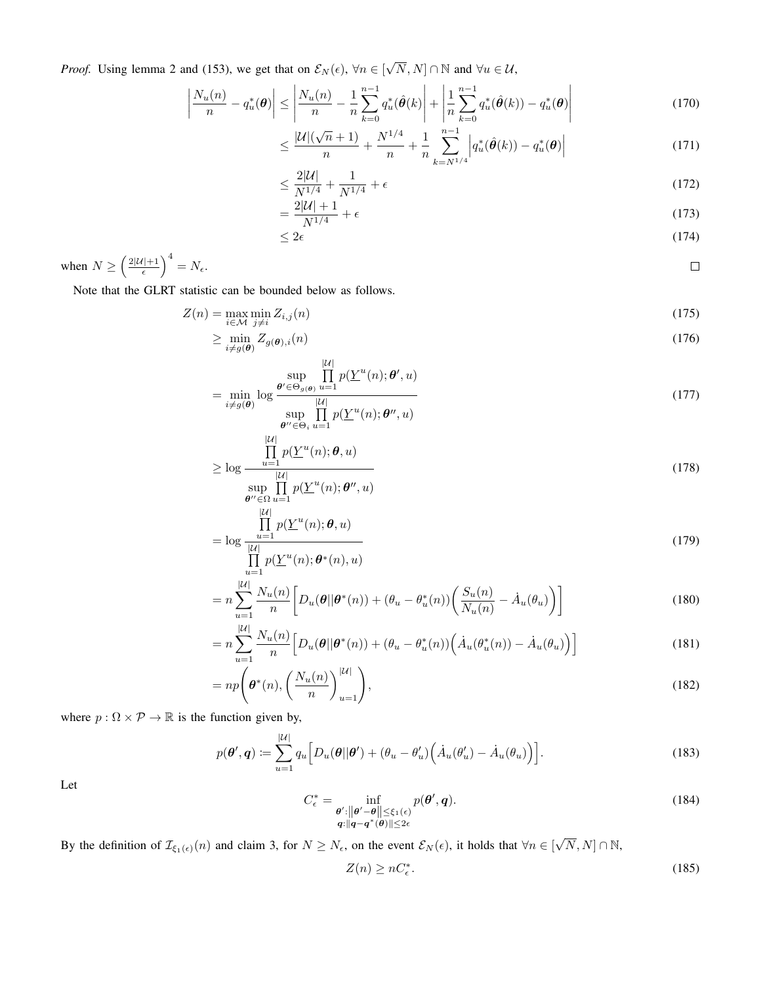*Proof.* Using lemma 2 and (153), we get that on  $\mathcal{E}_N(\epsilon)$ ,  $\forall n \in [\sqrt{N}, N] \cap \mathbb{N}$  and  $\forall u \in \mathcal{U}$ ,

$$
\left| \frac{N_u(n)}{n} - q_u^*(\boldsymbol{\theta}) \right| \le \left| \frac{N_u(n)}{n} - \frac{1}{n} \sum_{k=0}^{n-1} q_u^*(\hat{\boldsymbol{\theta}}(k)) \right| + \left| \frac{1}{n} \sum_{k=0}^{n-1} q_u^*(\hat{\boldsymbol{\theta}}(k)) - q_u^*(\boldsymbol{\theta}) \right| \tag{170}
$$

$$
\leq \frac{|\mathcal{U}|(\sqrt{n}+1)}{n} + \frac{N^{1/4}}{n} + \frac{1}{n} \sum_{k=N^{1/4}}^{n-1} \left| q_u^*(\hat{\boldsymbol{\theta}}(k)) - q_u^*(\boldsymbol{\theta}) \right| \tag{171}
$$

$$
\leq \frac{2|\mathcal{U}|}{N^{1/4}} + \frac{1}{N^{1/4}} + \epsilon \tag{172}
$$

$$
=\frac{2|\mathcal{U}|+1}{N^{1/4}}+\epsilon\tag{173}
$$

$$
\leq 2\epsilon \tag{174}
$$

when  $N \geq \left(\frac{2|\mathcal{U}|+1}{\epsilon}\right)^4 = N_{\epsilon}$ .  $\Box$ 

Note that the GLRT statistic can be bounded below as follows.

$$
Z(n) = \max_{i \in \mathcal{M}} \min_{j \neq i} Z_{i,j}(n) \tag{175}
$$

$$
\geq \min_{i \neq g(\boldsymbol{\theta})} Z_{g(\boldsymbol{\theta}),i}(n) \tag{176}
$$

$$
\lim_{\substack{\mathbf{d}' \in \Theta_{g(\boldsymbol{\theta})}} \text{log} \mathcal{B}' \leq \Theta_{g(\boldsymbol{\theta})}} \prod_{u=1}^{|\mathcal{U}|} p(\underline{Y}^u(n); \boldsymbol{\theta}', u) \tag{177}
$$

$$
= \min_{i \neq g(\boldsymbol{\theta})} \log \frac{|u|}{\sup_{\boldsymbol{\theta}'' \in \Theta_i} \prod_{u=1}^{|U|} p(\underline{Y}^u(n); \boldsymbol{\theta}'', u)}
$$
(177)

$$
\geq \log \frac{\prod_{u=1}^{|\mathcal{U}|} p(\underline{Y}^u(n); \boldsymbol{\theta}, u)}{|\mathcal{U}|}
$$
\n(178)

$$
\sup_{\boldsymbol{\theta}'' \in \Omega} \prod_{u=1}^{|\mathcal{U}|} p(\underline{Y}^u(n); \boldsymbol{\theta}'', u)
$$
  

$$
\prod_{u=1}^{|\mathcal{U}|} p(\underline{Y}^u(n); \boldsymbol{\theta}, u)
$$

$$
= \log \frac{\frac{1}{u-1} p(\underline{Y}^u(n), \theta, u)}{\prod_{u=1}^{|\mathcal{U}|} p(\underline{Y}^u(n), \theta^*(n), u)}
$$
(179)

$$
= n \sum_{u=1}^{|U|} \frac{N_u(n)}{n} \bigg[ D_u(\theta | \theta^*(n)) + (\theta_u - \theta_u^*(n)) \bigg( \frac{S_u(n)}{N_u(n)} - \dot{A}_u(\theta_u) \bigg) \bigg] \tag{180}
$$

$$
= n \sum_{u=1}^{|U|} \frac{N_u(n)}{n} \Big[ D_u(\theta | \theta^*(n)) + (\theta_u - \theta_u^*(n)) \Big( \dot{A}_u(\theta_u^*(n)) - \dot{A}_u(\theta_u) \Big) \Big]
$$
(181)

$$
= np\left(\boldsymbol{\theta}^*(n), \left(\frac{N_u(n)}{n}\right)_{u=1}^{|U|}\right),\tag{182}
$$

where  $p : \Omega \times \mathcal{P} \to \mathbb{R}$  is the function given by,

$$
p(\boldsymbol{\theta}', \boldsymbol{q}) \coloneqq \sum_{u=1}^{|\mathcal{U}|} q_u \Big[ D_u(\boldsymbol{\theta}||\boldsymbol{\theta}') + (\theta_u - \theta'_u) \Big( \dot{A}_u(\theta'_u) - \dot{A}_u(\theta_u) \Big) \Big]. \tag{183}
$$

Let

$$
C_{\epsilon}^* = \inf_{\substack{\boldsymbol{\theta}': ||\boldsymbol{\theta}'-\boldsymbol{\theta}|| \leq \xi_1(\epsilon) \\ \boldsymbol{q}: ||\boldsymbol{q}-\boldsymbol{q}^*(\boldsymbol{\theta})|| \leq 2\epsilon}} p(\boldsymbol{\theta}', \boldsymbol{q}).
$$
\n(184)

By the definition of  $\mathcal{I}_{\xi_1(\epsilon)}(n)$  and claim 3, for  $N \ge N_\epsilon$ , on the event  $\mathcal{E}_N(\epsilon)$ , it holds that  $\forall n \in [\sqrt{N}, N] \cap \mathbb{N}$ ,

$$
Z(n) \ge nC_{\epsilon}^*.\tag{185}
$$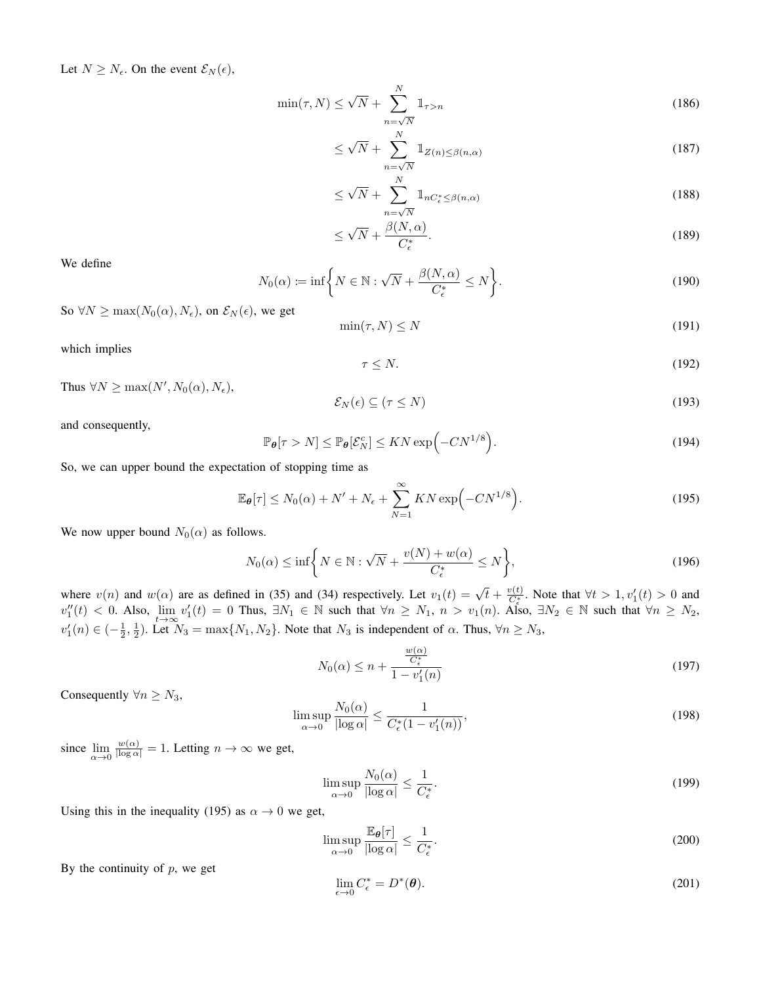Let  $N \geq N_{\epsilon}$ . On the event  $\mathcal{E}_N(\epsilon)$ ,

$$
\min(\tau, N) \le \sqrt{N} + \sum_{n=\sqrt{N}}^{N} \mathbb{1}_{\tau > n} \tag{186}
$$

$$
\leq \sqrt{N} + \sum_{n=\sqrt{N}}^{N} \mathbb{1}_{Z(n) \leq \beta(n,\alpha)} \tag{187}
$$

$$
\leq \sqrt{N} + \sum_{n=\sqrt{N}}^{N} \mathbb{1}_{nC_{\epsilon}^{*} \leq \beta(n,\alpha)} \tag{188}
$$

$$
\leq \sqrt{N} + \frac{\beta(N,\alpha)}{C_{\epsilon}^*}.\tag{189}
$$

We define

$$
N_0(\alpha) := \inf \bigg\{ N \in \mathbb{N} : \sqrt{N} + \frac{\beta(N, \alpha)}{C_{\epsilon}^*} \le N \bigg\}.
$$
\n(190)

So  $\forall N \ge \max(N_0(\alpha), N_{\epsilon})$ , on  $\mathcal{E}_N(\epsilon)$ , we get

$$
\min(\tau, N) \le N \tag{191}
$$

which implies

$$
\tau \le N. \tag{192}
$$

Thus  $\forall N \ge \max(N', N_0(\alpha), N_{\epsilon}),$ 

$$
\mathcal{E}_N(\epsilon) \subseteq (\tau \le N) \tag{193}
$$

and consequently,

$$
\mathbb{P}_{\theta}[\tau > N] \le \mathbb{P}_{\theta}[\mathcal{E}_N^c] \le KN \exp\left(-CN^{1/8}\right). \tag{194}
$$

So, we can upper bound the expectation of stopping time as

$$
\mathbb{E}_{\theta}[\tau] \le N_0(\alpha) + N' + N_{\epsilon} + \sum_{N=1}^{\infty} KN \exp\left(-CN^{1/8}\right). \tag{195}
$$

We now upper bound  $N_0(\alpha)$  as follows.

$$
N_0(\alpha) \le \inf \bigg\{ N \in \mathbb{N} : \sqrt{N} + \frac{v(N) + w(\alpha)}{C_{\epsilon}^*} \le N \bigg\},\tag{196}
$$

where  $v(n)$  and  $w(\alpha)$  are as defined in (35) and (34) respectively. Let  $v_1(t) = \sqrt{t} + \frac{v(t)}{C_{\epsilon}^*}$ . Note that  $\forall t > 1, v'_1(t) > 0$  and  $v_1''(t) < 0$ . Also,  $\lim_{t \to \infty} v_1'(t) = 0$  Thus,  $\exists N_1 \in \mathbb{N}$  such that  $\forall n \ge N_1$ ,  $n > v_1(n)$ . Also,  $\exists N_2 \in \mathbb{N}$  such that  $\forall n \ge N_2$ ,  $v'_1(n) \in \left(-\frac{1}{2}, \frac{1}{2}\right)$ . Let  $N_3 = \max\{N_1, N_2\}$ . Note that  $N_3$  is independent of  $\alpha$ . Thus,  $\forall n \ge N_3$ ,

$$
N_0(\alpha) \le n + \frac{\frac{w(\alpha)}{C_{\epsilon}^*}}{1 - v_1'(n)}
$$
\n
$$
(197)
$$

Consequently  $\forall n \geq N_3$ ,

$$
\limsup_{\alpha \to 0} \frac{N_0(\alpha)}{|\log \alpha|} \le \frac{1}{C_{\epsilon}^*(1 - v_1'(n))},\tag{198}
$$

since  $\lim_{\alpha \to 0} \frac{w(\alpha)}{|\log \alpha|} = 1$ . Letting  $n \to \infty$  we get,

$$
\limsup_{\alpha \to 0} \frac{N_0(\alpha)}{|\log \alpha|} \le \frac{1}{C_{\epsilon}^*}.\tag{199}
$$

Using this in the inequality (195) as  $\alpha \to 0$  we get,

$$
\limsup_{\alpha \to 0} \frac{\mathbb{E}_{\theta}[\tau]}{|\log \alpha|} \le \frac{1}{C_{\epsilon}^*}.
$$
\n(200)

By the continuity of  $p$ , we get

$$
\lim_{\epsilon \to 0} C_{\epsilon}^* = D^*(\boldsymbol{\theta}). \tag{201}
$$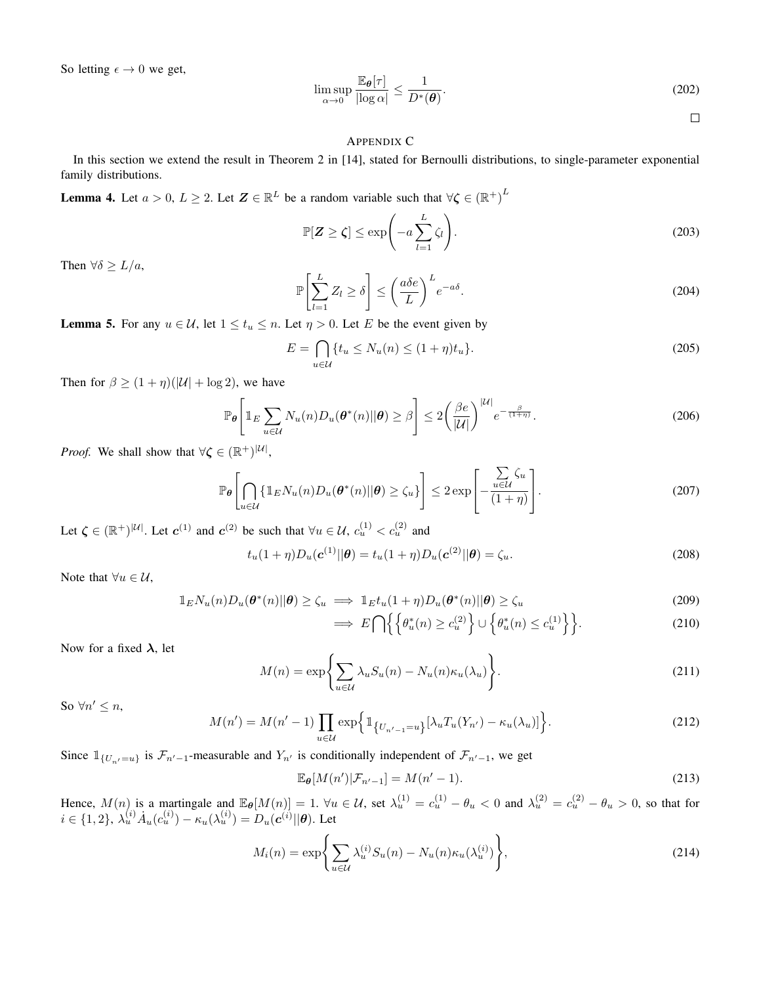So letting  $\epsilon \to 0$  we get,

$$
\limsup_{\alpha \to 0} \frac{\mathbb{E}_{\theta}[\tau]}{|\log \alpha|} \le \frac{1}{D^*(\theta)}.
$$
\n(202)

 $\Box$ 

#### APPENDIX C

In this section we extend the result in Theorem 2 in [14], stated for Bernoulli distributions, to single-parameter exponential family distributions.

**Lemma 4.** Let  $a > 0$ ,  $L \ge 2$ . Let  $\mathbf{Z} \in \mathbb{R}^L$  be a random variable such that  $\forall \zeta \in (\mathbb{R}^+)^L$ 

$$
\mathbb{P}[\mathbf{Z} \ge \zeta] \le \exp\left(-a \sum_{l=1}^{L} \zeta_l\right). \tag{203}
$$

Then  $\forall \delta \geq L/a$ ,

$$
\mathbb{P}\left[\sum_{l=1}^{L} Z_l \ge \delta\right] \le \left(\frac{a\delta e}{L}\right)^L e^{-a\delta}.\tag{204}
$$

**Lemma 5.** For any  $u \in \mathcal{U}$ , let  $1 \le t_u \le n$ . Let  $\eta > 0$ . Let E be the event given by

$$
E = \bigcap_{u \in \mathcal{U}} \{ t_u \le N_u(n) \le (1 + \eta) t_u \}. \tag{205}
$$

Then for  $\beta \ge (1 + \eta)(|\mathcal{U}| + \log 2)$ , we have

$$
\mathbb{P}_{\theta}\left[\mathbb{1}_{E}\sum_{u\in\mathcal{U}}N_{u}(n)D_{u}(\theta^{*}(n)||\theta)\geq\beta\right]\leq2\left(\frac{\beta e}{|\mathcal{U}|}\right)^{|\mathcal{U}|}e^{-\frac{\beta}{(1+\eta)}}.\tag{206}
$$

*Proof.* We shall show that  $\forall \zeta \in (\mathbb{R}^+)^{|\mathcal{U}|}$ ,

$$
\mathbb{P}_{\theta}\left[\bigcap_{u\in\mathcal{U}}\left\{\mathbb{1}_{E}N_{u}(n)D_{u}(\theta^{*}(n)||\theta)\geq\zeta_{u}\right\}\right]\leq2\exp\left[-\frac{\sum\limits_{u\in\mathcal{U}}\zeta_{u}}{(1+\eta)}\right].
$$
\n(207)

Let  $\zeta \in (\mathbb{R}^+)^{|\mathcal{U}|}$ . Let  $c^{(1)}$  and  $c^{(2)}$  be such that  $\forall u \in \mathcal{U}$ ,  $c_u^{(1)} < c_u^{(2)}$  and

$$
t_u(1+\eta)D_u(\mathbf{c}^{(1)}||\theta) = t_u(1+\eta)D_u(\mathbf{c}^{(2)}||\theta) = \zeta_u.
$$
\n(208)

Note that  $\forall u \in \mathcal{U}$ ,

$$
\mathbb{1}_E N_u(n) D_u(\boldsymbol{\theta}^*(n) || \boldsymbol{\theta}) \ge \zeta_u \implies \mathbb{1}_E t_u(1 + \eta) D_u(\boldsymbol{\theta}^*(n) || \boldsymbol{\theta}) \ge \zeta_u \tag{209}
$$

$$
\implies E\bigcap \Big\{ \Big\{ \theta_u^*(n) \ge c_u^{(2)} \Big\} \cup \Big\{ \theta_u^*(n) \le c_u^{(1)} \Big\} \Big\}.
$$
\n(210)

Now for a fixed  $\lambda$ , let

$$
M(n) = \exp\left\{\sum_{u \in \mathcal{U}} \lambda_u S_u(n) - N_u(n) \kappa_u(\lambda_u)\right\}.
$$
 (211)

So  $\forall n' \leq n$ ,

$$
M(n') = M(n'-1) \prod_{u \in \mathcal{U}} \exp\left\{ \mathbb{1}_{\{U_{n'-1} = u\}} [\lambda_u T_u(Y_{n'}) - \kappa_u(\lambda_u)] \right\}.
$$
 (212)

Since  $\mathbb{1}_{\{U_{n'}=u\}}$  is  $\mathcal{F}_{n'-1}$ -measurable and  $Y_{n'}$  is conditionally independent of  $\mathcal{F}_{n'-1}$ , we get

$$
\mathbb{E}_{\theta}[M(n')|\mathcal{F}_{n'-1}] = M(n'-1). \tag{213}
$$

Hence,  $M(n)$  is a martingale and  $\mathbb{E}_{\theta}[M(n)] = 1$ .  $\forall u \in \mathcal{U}$ , set  $\lambda_u^{(1)} = c_u^{(1)} - \theta_u < 0$  and  $\lambda_u^{(2)} = c_u^{(2)} - \theta_u > 0$ , so that for  $i \in \{1,2\}, \ \lambda_u^{(i)} \dot{A}_u(c_u^{(i)}) - \kappa_u(\lambda_u^{(i)}) = D_u(\boldsymbol{c}^{(i)}||\boldsymbol{\theta}).$  Let

$$
M_i(n) = \exp\left\{\sum_{u \in \mathcal{U}} \lambda_u^{(i)} S_u(n) - N_u(n) \kappa_u(\lambda_u^{(i)})\right\},\tag{214}
$$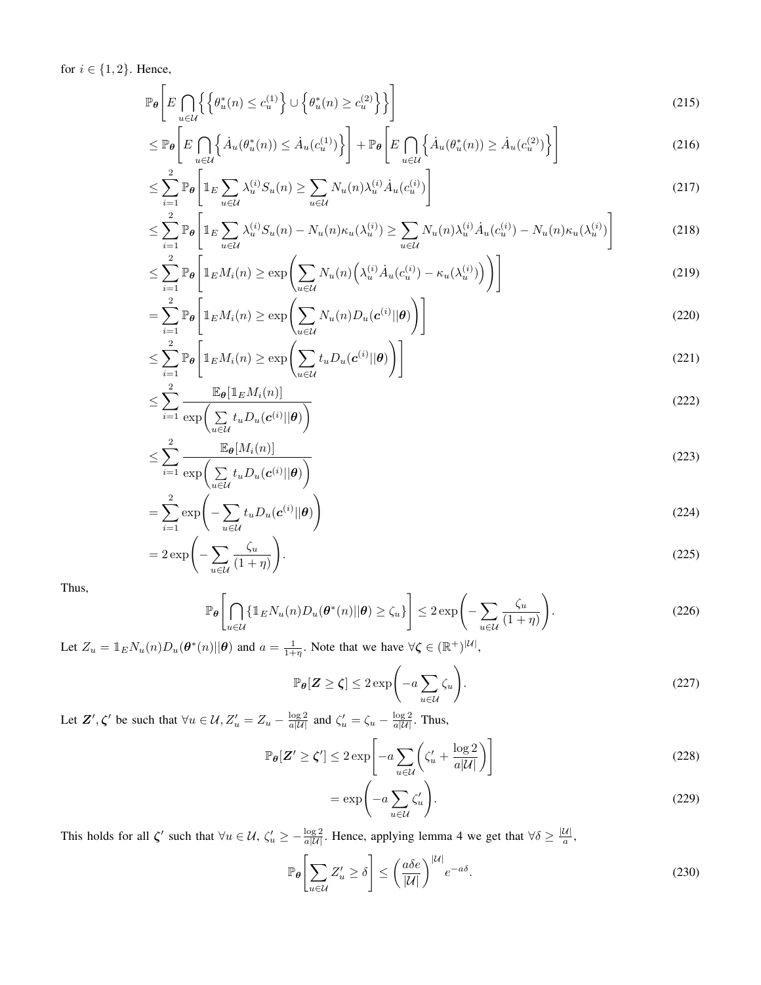for  $i \in \{1, 2\}$ . Hence,

$$
\mathbb{P}_{\theta}\left[E\bigcap_{u\in\mathcal{U}}\left\{\left\{\theta_u^*(n)\leq c_u^{(1)}\right\}\cup\left\{\theta_u^*(n)\geq c_u^{(2)}\right\}\right\}\right]
$$
\n(215)

$$
\leq \mathbb{P}_{\theta}\left[E\bigcap_{u\in\mathcal{U}}\left\{\dot{A}_{u}(\theta_{u}^{*}(n))\leq\dot{A}_{u}(c_{u}^{(1)})\right\}\right]+\mathbb{P}_{\theta}\left[E\bigcap_{u\in\mathcal{U}}\left\{\dot{A}_{u}(\theta_{u}^{*}(n))\geq\dot{A}_{u}(c_{u}^{(2)})\right\}\right]
$$
(216)

$$
\leq \sum_{i=1}^{2} \mathbb{P}_{\theta} \left[ \mathbb{1}_{E} \sum_{u \in \mathcal{U}} \lambda_{u}^{(i)} S_{u}(n) \geq \sum_{u \in \mathcal{U}} N_{u}(n) \lambda_{u}^{(i)} \dot{A}_{u}(c_{u}^{(i)}) \right]
$$
(217)

$$
\leq \sum_{i=1}^{2} \mathbb{P}_{\theta} \left[ \mathbb{1}_{E} \sum_{u \in \mathcal{U}} \lambda_{u}^{(i)} S_{u}(n) - N_{u}(n) \kappa_{u}(\lambda_{u}^{(i)}) \geq \sum_{u \in \mathcal{U}} N_{u}(n) \lambda_{u}^{(i)} \dot{A}_{u}(c_{u}^{(i)}) - N_{u}(n) \kappa_{u}(\lambda_{u}^{(i)}) \right]
$$
(218)

$$
\leq \sum_{i=1}^{2} \mathbb{P}_{\theta} \left[ \mathbb{1}_{E} M_{i}(n) \geq \exp \left( \sum_{u \in \mathcal{U}} N_{u}(n) \left( \lambda_{u}^{(i)} \dot{A}_{u}(c_{u}^{(i)}) - \kappa_{u}(\lambda_{u}^{(i)}) \right) \right) \right]
$$
(219)

$$
= \sum_{i=1}^{2} \mathbb{P}_{\theta} \left[ \mathbb{1}_{E} M_{i}(n) \ge \exp \left( \sum_{u \in \mathcal{U}} N_{u}(n) D_{u}(\mathbf{c}^{(i)} || \theta) \right) \right]
$$
(220)

$$
\leq \sum_{i=1}^{2} \mathbb{P}_{\theta} \left[ \mathbb{1}_{E} M_{i}(n) \geq \exp \left( \sum_{u \in \mathcal{U}} t_{u} D_{u}(c^{(i)} || \theta) \right) \right]
$$
(221)

$$
\leq \sum_{i=1}^{2} \frac{\mathbb{E}_{\theta}[\mathbb{1}_{E}M_{i}(n)]}{\exp\left(\sum_{u\in\mathcal{U}} t_{u}D_{u}(\mathbf{c}^{(i)}||\theta)\right)}
$$
(222)

$$
\leq \sum_{i=1}^{2} \frac{\mathbb{E}_{\theta}[M_i(n)]}{\exp\left(\sum_{u \in \mathcal{U}} t_u D_u(\mathbf{c}^{(i)} || \theta)\right)}
$$
(223)

$$
= \sum_{i=1}^{2} \exp\left(-\sum_{u \in \mathcal{U}} t_{u} D_{u}(\mathbf{c}^{(i)}||\boldsymbol{\theta})\right)
$$
(224)

$$
=2\exp\left(-\sum_{u\in\mathcal{U}}\frac{\zeta_u}{(1+\eta)}\right).
$$
\n(225)

Thus,

$$
\mathbb{P}_{\theta}\left[\bigcap_{u\in\mathcal{U}}\{\mathbb{1}_E N_u(n)D_u(\theta^*(n)||\theta)\geq\zeta_u\}\right] \leq 2\exp\left(-\sum_{u\in\mathcal{U}}\frac{\zeta_u}{(1+\eta)}\right). \tag{226}
$$

Let  $Z_u = \mathbb{1}_E N_u(n) D_u(\theta^*(n) || \theta)$  and  $a = \frac{1}{1+\eta}$ . Note that we have  $\forall \zeta \in (\mathbb{R}^+)^{|\mathcal{U}|}$ ,

$$
\mathbb{P}_{\theta}[\mathbf{Z} \ge \zeta] \le 2 \exp\left(-a \sum_{u \in \mathcal{U}} \zeta_u\right). \tag{227}
$$

Let  $\mathbf{Z}', \zeta'$  be such that  $\forall u \in \mathcal{U}, Z'_u = Z_u - \frac{\log 2}{a|\mathcal{U}|}$  and  $\zeta'_u = \zeta_u - \frac{\log 2}{a|\mathcal{U}|}$ . Thus,

$$
\mathbb{P}_{\theta}[\mathbf{Z}' \ge \zeta'] \le 2 \exp\left[-a \sum_{u \in \mathcal{U}} \left(\zeta_u' + \frac{\log 2}{a|\mathcal{U}|}\right)\right]
$$
(228)

$$
= \exp\left(-a \sum_{u \in \mathcal{U}} \zeta_u'\right). \tag{229}
$$

This holds for all  $\zeta'$  such that  $\forall u \in \mathcal{U}$ ,  $\zeta'_u \ge -\frac{\log 2}{a|\mathcal{U}|}$ . Hence, applying lemma 4 we get that  $\forall \delta \ge \frac{|\mathcal{U}|}{a}$ ,

$$
\mathbb{P}_{\theta}\left[\sum_{u\in\mathcal{U}}Z_{u}'\ge\delta\right] \le \left(\frac{a\delta e}{|\mathcal{U}|}\right)^{|\mathcal{U}|}e^{-a\delta}.\tag{230}
$$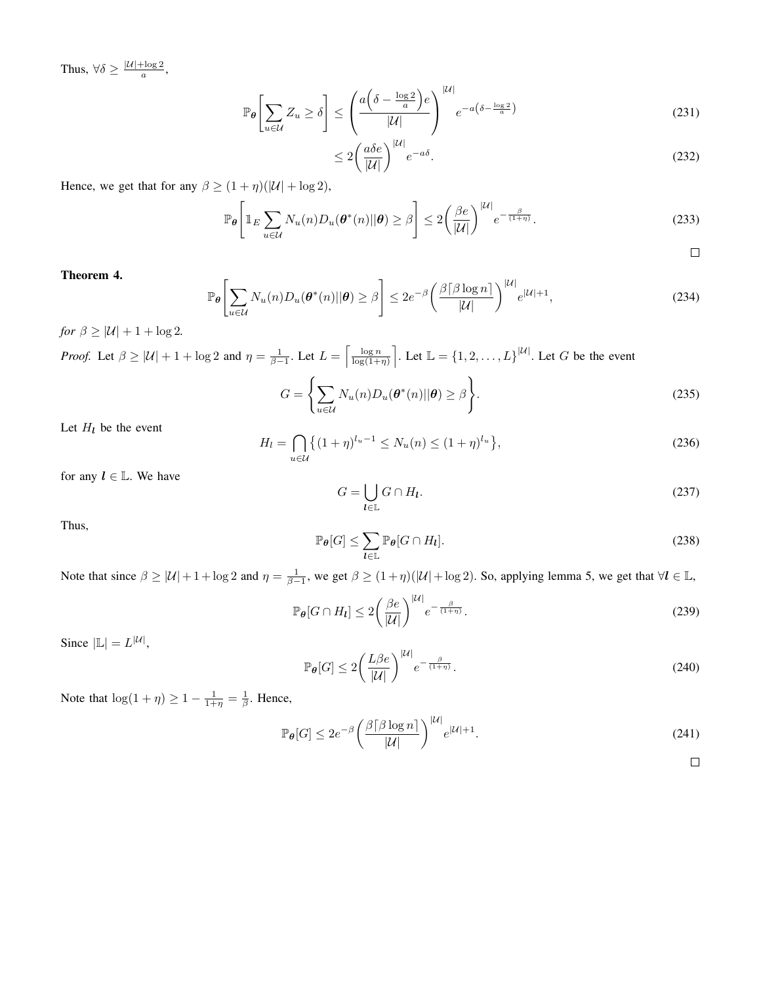Thus,  $\forall \delta \geq \frac{|\mathcal{U}| + \log 2}{a}$ ,

$$
\mathbb{P}_{\theta}\left[\sum_{u\in\mathcal{U}}Z_u \ge \delta\right] \le \left(\frac{a\left(\delta - \frac{\log 2}{a}\right)e}{|\mathcal{U}|}\right)^{|\mathcal{U}|}e^{-a\left(\delta - \frac{\log 2}{a}\right)}\tag{231}
$$

$$
\leq 2\left(\frac{a\delta e}{|\mathcal{U}|}\right)^{|\mathcal{U}|}e^{-a\delta}.\tag{232}
$$

Hence, we get that for any  $\beta \ge (1 + \eta)(|\mathcal{U}| + \log 2)$ ,

$$
\mathbb{P}_{\theta}\left[\mathbb{1}_{E}\sum_{u\in\mathcal{U}}N_{u}(n)D_{u}(\theta^{*}(n)||\theta)\geq\beta\right]\leq2\left(\frac{\beta e}{|\mathcal{U}|}\right)^{|\mathcal{U}|}e^{-\frac{\beta}{(1+\eta)}}.\tag{233}
$$

Theorem 4.

$$
\mathbb{P}_{\theta}\left[\sum_{u\in\mathcal{U}}N_{u}(n)D_{u}(\theta^{*}(n)||\theta)\geq\beta\right]\leq 2e^{-\beta}\left(\frac{\beta\lceil\beta\log n\rceil}{|\mathcal{U}|}\right)^{|\mathcal{U}|}e^{|\mathcal{U}|+1},\tag{234}
$$

*for*  $\beta \geq |\mathcal{U}| + 1 + \log 2$ .

*Proof.* Let 
$$
\beta \ge |U| + 1 + \log 2
$$
 and  $\eta = \frac{1}{\beta - 1}$ . Let  $L = \left[\frac{\log n}{\log(1 + \eta)}\right]$ . Let  $\mathbb{L} = \{1, 2, ..., L\}^{|U|}$ . Let G be the event\n
$$
G = \left\{\sum_{u \in U} N_u(n) D_u(\theta^*(n) || \theta) \ge \beta\right\}.
$$
\n(235)

Let  $H_l$  be the event

$$
H_l = \bigcap_{u \in \mathcal{U}} \left\{ (1 + \eta)^{l_u - 1} \le N_u(n) \le (1 + \eta)^{l_u} \right\},\tag{236}
$$

for any  $l \in \mathbb{L}$ . We have

$$
G = \bigcup_{\mathbf{l} \in \mathbb{L}} G \cap H_{\mathbf{l}}.\tag{237}
$$

Thus,

$$
\mathbb{P}_{\theta}[G] \le \sum_{l \in \mathbb{L}} \mathbb{P}_{\theta}[G \cap H_l]. \tag{238}
$$

Note that since  $\beta \ge |\mathcal{U}| + 1 + \log 2$  and  $\eta = \frac{1}{\beta - 1}$ , we get  $\beta \ge (1 + \eta)(|\mathcal{U}| + \log 2)$ . So, applying lemma 5, we get that  $\forall \mathbf{l} \in \mathbb{L}$ ,

$$
\mathbb{P}_{\theta}[G \cap H_{l}] \le 2\left(\frac{\beta e}{|\mathcal{U}|}\right)^{|\mathcal{U}|} e^{-\frac{\beta}{(1+\eta)}}.
$$
\n(239)

Since  $|\mathbb{L}| = L^{|\mathcal{U}|}$ ,

$$
\mathbb{P}_{\theta}[G] \le 2\left(\frac{L\beta e}{|\mathcal{U}|}\right)^{|\mathcal{U}|} e^{-\frac{\beta}{(1+\eta)}}.
$$
\n(240)

Note that  $\log(1 + \eta) \ge 1 - \frac{1}{1 + \eta} = \frac{1}{\beta}$ . Hence,

$$
\mathbb{P}_{\theta}[G] \le 2e^{-\beta} \left(\frac{\beta \lceil \beta \log n \rceil}{|\mathcal{U}|}\right)^{|\mathcal{U}|} e^{|\mathcal{U}|+1}.
$$
\n(241)